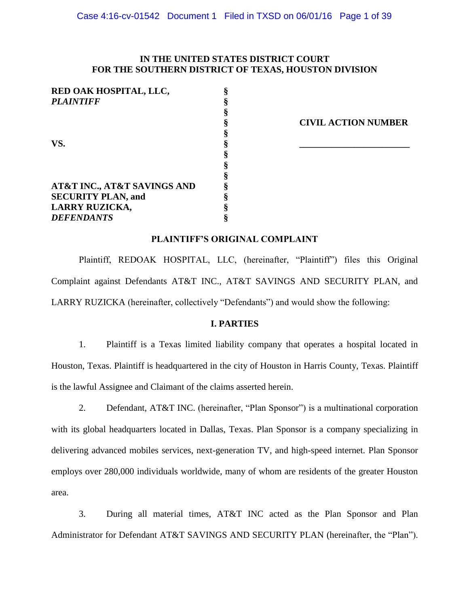# **IN THE UNITED STATES DISTRICT COURT FOR THE SOUTHERN DISTRICT OF TEXAS, HOUSTON DIVISION**

| RED OAK HOSPITAL, LLC,      |                            |
|-----------------------------|----------------------------|
| <b>PLAINTIFF</b>            |                            |
|                             |                            |
|                             | <b>CIVIL ACTION NUMBER</b> |
|                             |                            |
| VS.                         |                            |
|                             |                            |
|                             |                            |
|                             |                            |
| AT&T INC., AT&T SAVINGS AND |                            |
| <b>SECURITY PLAN, and</b>   |                            |
| <b>LARRY RUZICKA,</b>       |                            |
| <b>DEFENDANTS</b>           |                            |

#### **PLAINTIFF'S ORIGINAL COMPLAINT**

Plaintiff, REDOAK HOSPITAL, LLC, (hereinafter, "Plaintiff") files this Original Complaint against Defendants AT&T INC., AT&T SAVINGS AND SECURITY PLAN, and LARRY RUZICKA (hereinafter, collectively "Defendants") and would show the following:

#### **I. PARTIES**

1. Plaintiff is a Texas limited liability company that operates a hospital located in Houston, Texas. Plaintiff is headquartered in the city of Houston in Harris County, Texas. Plaintiff is the lawful Assignee and Claimant of the claims asserted herein.

2. Defendant, AT&T INC. (hereinafter, "Plan Sponsor") is a multinational corporation with its global headquarters located in Dallas, Texas. Plan Sponsor is a company specializing in delivering advanced mobiles services, next-generation TV, and high-speed internet. Plan Sponsor employs over 280,000 individuals worldwide, many of whom are residents of the greater Houston area.

3. During all material times, AT&T INC acted as the Plan Sponsor and Plan Administrator for Defendant AT&T SAVINGS AND SECURITY PLAN (hereinafter, the "Plan").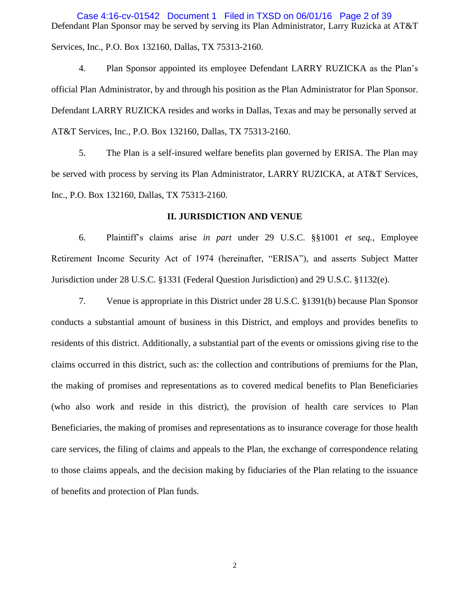Defendant Plan Sponsor may be served by serving its Plan Administrator, Larry Ruzicka at AT&T Services, Inc., P.O. Box 132160, Dallas, TX 75313-2160. Case 4:16-cv-01542 Document 1 Filed in TXSD on 06/01/16 Page 2 of 39

4. Plan Sponsor appointed its employee Defendant LARRY RUZICKA as the Plan's official Plan Administrator, by and through his position as the Plan Administrator for Plan Sponsor. Defendant LARRY RUZICKA resides and works in Dallas, Texas and may be personally served at AT&T Services, Inc., P.O. Box 132160, Dallas, TX 75313-2160.

5. The Plan is a self-insured welfare benefits plan governed by ERISA. The Plan may be served with process by serving its Plan Administrator, LARRY RUZICKA, at AT&T Services, Inc., P.O. Box 132160, Dallas, TX 75313-2160.

## **II. JURISDICTION AND VENUE**

6. Plaintiff's claims arise *in part* under 29 U.S.C. §§1001 *et seq.,* Employee Retirement Income Security Act of 1974 (hereinafter, "ERISA"), and asserts Subject Matter Jurisdiction under 28 U.S.C. §1331 (Federal Question Jurisdiction) and 29 U.S.C. §1132(e).

7. Venue is appropriate in this District under 28 U.S.C. §1391(b) because Plan Sponsor conducts a substantial amount of business in this District, and employs and provides benefits to residents of this district. Additionally, a substantial part of the events or omissions giving rise to the claims occurred in this district, such as: the collection and contributions of premiums for the Plan, the making of promises and representations as to covered medical benefits to Plan Beneficiaries (who also work and reside in this district), the provision of health care services to Plan Beneficiaries, the making of promises and representations as to insurance coverage for those health care services, the filing of claims and appeals to the Plan, the exchange of correspondence relating to those claims appeals, and the decision making by fiduciaries of the Plan relating to the issuance of benefits and protection of Plan funds.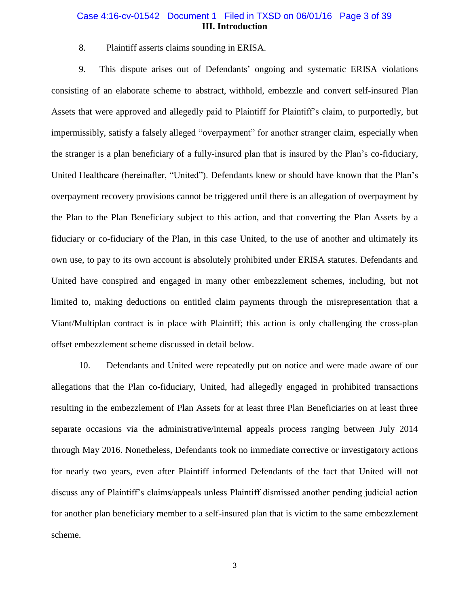### **III. Introduction** Case 4:16-cv-01542 Document 1 Filed in TXSD on 06/01/16 Page 3 of 39

8. Plaintiff asserts claims sounding in ERISA.

9. This dispute arises out of Defendants' ongoing and systematic ERISA violations consisting of an elaborate scheme to abstract, withhold, embezzle and convert self-insured Plan Assets that were approved and allegedly paid to Plaintiff for Plaintiff's claim, to purportedly, but impermissibly, satisfy a falsely alleged "overpayment" for another stranger claim, especially when the stranger is a plan beneficiary of a fully-insured plan that is insured by the Plan's co-fiduciary, United Healthcare (hereinafter, "United"). Defendants knew or should have known that the Plan's overpayment recovery provisions cannot be triggered until there is an allegation of overpayment by the Plan to the Plan Beneficiary subject to this action, and that converting the Plan Assets by a fiduciary or co-fiduciary of the Plan, in this case United, to the use of another and ultimately its own use, to pay to its own account is absolutely prohibited under ERISA statutes. Defendants and United have conspired and engaged in many other embezzlement schemes, including, but not limited to, making deductions on entitled claim payments through the misrepresentation that a Viant/Multiplan contract is in place with Plaintiff; this action is only challenging the cross-plan offset embezzlement scheme discussed in detail below.

10. Defendants and United were repeatedly put on notice and were made aware of our allegations that the Plan co-fiduciary, United, had allegedly engaged in prohibited transactions resulting in the embezzlement of Plan Assets for at least three Plan Beneficiaries on at least three separate occasions via the administrative/internal appeals process ranging between July 2014 through May 2016. Nonetheless, Defendants took no immediate corrective or investigatory actions for nearly two years, even after Plaintiff informed Defendants of the fact that United will not discuss any of Plaintiff's claims/appeals unless Plaintiff dismissed another pending judicial action for another plan beneficiary member to a self-insured plan that is victim to the same embezzlement scheme.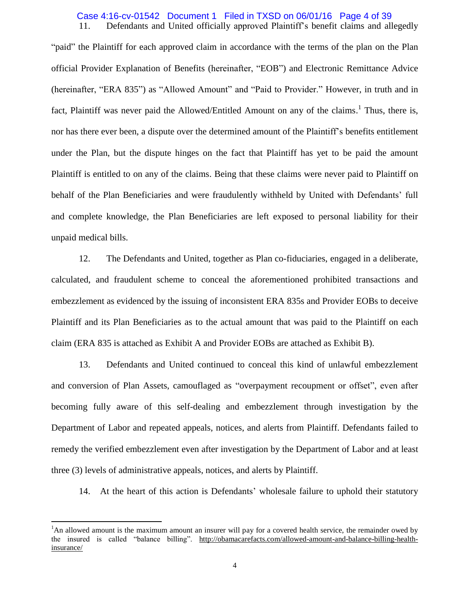#### 11. Defendants and United officially approved Plaintiff's benefit claims and allegedly Case 4:16-cv-01542 Document 1 Filed in TXSD on 06/01/16 Page 4 of 39

"paid" the Plaintiff for each approved claim in accordance with the terms of the plan on the Plan official Provider Explanation of Benefits (hereinafter, "EOB") and Electronic Remittance Advice (hereinafter, "ERA 835") as "Allowed Amount" and "Paid to Provider." However, in truth and in fact, Plaintiff was never paid the Allowed/Entitled Amount on any of the claims.<sup>1</sup> Thus, there is, nor has there ever been, a dispute over the determined amount of the Plaintiff's benefits entitlement under the Plan, but the dispute hinges on the fact that Plaintiff has yet to be paid the amount Plaintiff is entitled to on any of the claims. Being that these claims were never paid to Plaintiff on behalf of the Plan Beneficiaries and were fraudulently withheld by United with Defendants' full and complete knowledge, the Plan Beneficiaries are left exposed to personal liability for their unpaid medical bills.

12. The Defendants and United, together as Plan co-fiduciaries, engaged in a deliberate, calculated, and fraudulent scheme to conceal the aforementioned prohibited transactions and embezzlement as evidenced by the issuing of inconsistent ERA 835s and Provider EOBs to deceive Plaintiff and its Plan Beneficiaries as to the actual amount that was paid to the Plaintiff on each claim (ERA 835 is attached as Exhibit A and Provider EOBs are attached as Exhibit B).

13. Defendants and United continued to conceal this kind of unlawful embezzlement and conversion of Plan Assets, camouflaged as "overpayment recoupment or offset", even after becoming fully aware of this self-dealing and embezzlement through investigation by the Department of Labor and repeated appeals, notices, and alerts from Plaintiff. Defendants failed to remedy the verified embezzlement even after investigation by the Department of Labor and at least three (3) levels of administrative appeals, notices, and alerts by Plaintiff.

14. At the heart of this action is Defendants' wholesale failure to uphold their statutory

 $\overline{a}$ 

<sup>&</sup>lt;sup>1</sup>An allowed amount is the maximum amount an insurer will pay for a covered health service, the remainder owed by the insured is called "balance billing". [http://obamacarefacts.com/allowed-amount-and-balance-billing-health](http://obamacarefacts.com/allowed-amount-and-balance-billing-health-insurance/)[insurance/](http://obamacarefacts.com/allowed-amount-and-balance-billing-health-insurance/)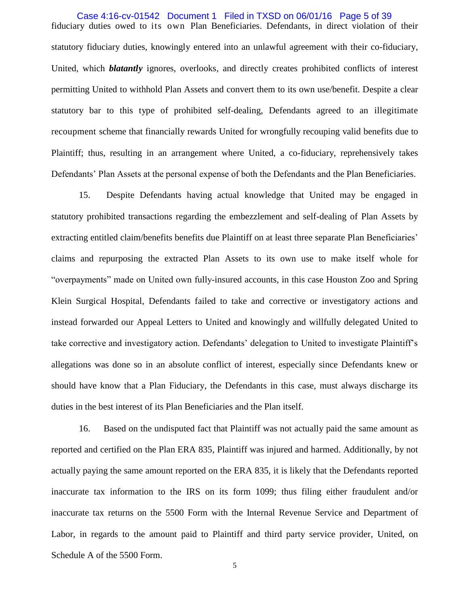fiduciary duties owed to its own Plan Beneficiaries. Defendants, in direct violation of their statutory fiduciary duties, knowingly entered into an unlawful agreement with their co-fiduciary, United, which *blatantly* ignores, overlooks, and directly creates prohibited conflicts of interest permitting United to withhold Plan Assets and convert them to its own use/benefit. Despite a clear statutory bar to this type of prohibited self-dealing, Defendants agreed to an illegitimate recoupment scheme that financially rewards United for wrongfully recouping valid benefits due to Plaintiff; thus, resulting in an arrangement where United, a co-fiduciary, reprehensively takes Defendants' Plan Assets at the personal expense of both the Defendants and the Plan Beneficiaries. Case 4:16-cv-01542 Document 1 Filed in TXSD on 06/01/16 Page 5 of 39

15. Despite Defendants having actual knowledge that United may be engaged in statutory prohibited transactions regarding the embezzlement and self-dealing of Plan Assets by extracting entitled claim/benefits benefits due Plaintiff on at least three separate Plan Beneficiaries' claims and repurposing the extracted Plan Assets to its own use to make itself whole for "overpayments" made on United own fully-insured accounts, in this case Houston Zoo and Spring Klein Surgical Hospital, Defendants failed to take and corrective or investigatory actions and instead forwarded our Appeal Letters to United and knowingly and willfully delegated United to take corrective and investigatory action. Defendants' delegation to United to investigate Plaintiff's allegations was done so in an absolute conflict of interest, especially since Defendants knew or should have know that a Plan Fiduciary, the Defendants in this case, must always discharge its duties in the best interest of its Plan Beneficiaries and the Plan itself.

16. Based on the undisputed fact that Plaintiff was not actually paid the same amount as reported and certified on the Plan ERA 835, Plaintiff was injured and harmed. Additionally, by not actually paying the same amount reported on the ERA 835, it is likely that the Defendants reported inaccurate tax information to the IRS on its form 1099; thus filing either fraudulent and/or inaccurate tax returns on the 5500 Form with the Internal Revenue Service and Department of Labor, in regards to the amount paid to Plaintiff and third party service provider, United, on Schedule A of the 5500 Form.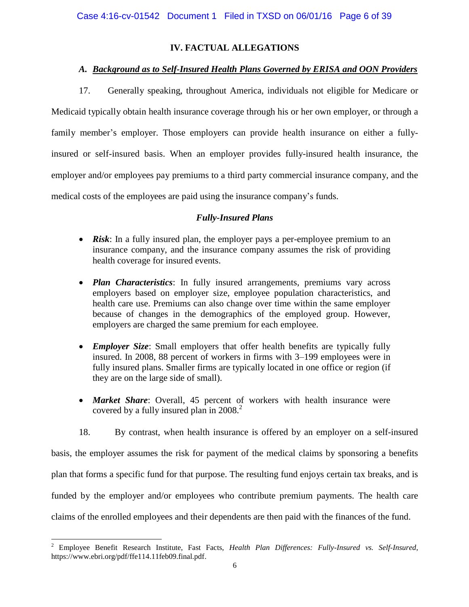# **IV. FACTUAL ALLEGATIONS**

# *A. Background as to Self-Insured Health Plans Governed by ERISA and OON Providers*

17. Generally speaking, throughout America, individuals not eligible for Medicare or Medicaid typically obtain health insurance coverage through his or her own employer, or through a family member's employer. Those employers can provide health insurance on either a fullyinsured or self-insured basis. When an employer provides fully-insured health insurance, the employer and/or employees pay premiums to a third party commercial insurance company, and the medical costs of the employees are paid using the insurance company's funds.

# *Fully-Insured Plans*

- *Risk*: In a fully insured plan, the employer pays a per-employee premium to an insurance company, and the insurance company assumes the risk of providing health coverage for insured events.
- *Plan Characteristics*: In fully insured arrangements, premiums vary across employers based on employer size, employee population characteristics, and health care use. Premiums can also change over time within the same employer because of changes in the demographics of the employed group. However, employers are charged the same premium for each employee.
- *Employer Size*: Small employers that offer health benefits are typically fully insured. In 2008, 88 percent of workers in firms with 3–199 employees were in fully insured plans. Smaller firms are typically located in one office or region (if they are on the large side of small).
- *Market Share*: Overall, 45 percent of workers with health insurance were covered by a fully insured plan in 2008.<sup>2</sup>

18. By contrast, when health insurance is offered by an employer on a self-insured basis, the employer assumes the risk for payment of the medical claims by sponsoring a benefits plan that forms a specific fund for that purpose. The resulting fund enjoys certain tax breaks, and is funded by the employer and/or employees who contribute premium payments. The health care claims of the enrolled employees and their dependents are then paid with the finances of the fund.

 $\overline{a}$ 

<sup>2</sup> Employee Benefit Research Institute, Fast Facts, *Health Plan Differences: Fully-Insured vs. Self-Insured*, https://www.ebri.org/pdf/ffe114.11feb09.final.pdf.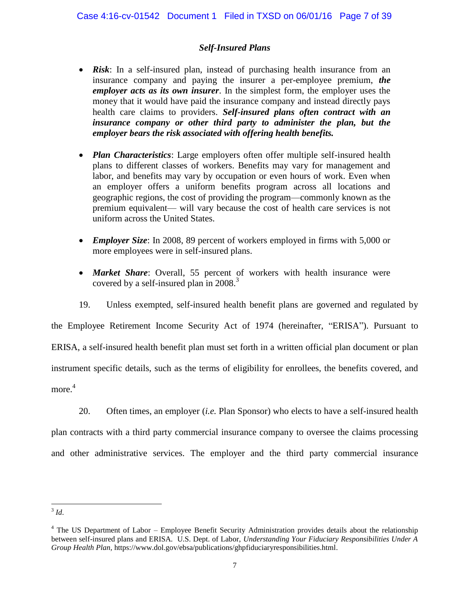# *Self-Insured Plans*

- *Risk*: In a self-insured plan, instead of purchasing health insurance from an insurance company and paying the insurer a per-employee premium, *the employer acts as its own insurer*. In the simplest form, the employer uses the money that it would have paid the insurance company and instead directly pays health care claims to providers. *Self-insured plans often contract with an insurance company or other third party to administer the plan, but the employer bears the risk associated with offering health benefits.*
- *Plan Characteristics*: Large employers often offer multiple self-insured health plans to different classes of workers. Benefits may vary for management and labor, and benefits may vary by occupation or even hours of work. Even when an employer offers a uniform benefits program across all locations and geographic regions, the cost of providing the program—commonly known as the premium equivalent— will vary because the cost of health care services is not uniform across the United States.
- *Employer Size*: In 2008, 89 percent of workers employed in firms with 5,000 or more employees were in self-insured plans.
- *Market Share*: Overall, 55 percent of workers with health insurance were covered by a self-insured plan in 2008.<sup>3</sup>

19. Unless exempted, self-insured health benefit plans are governed and regulated by the Employee Retirement Income Security Act of 1974 (hereinafter, "ERISA"). Pursuant to ERISA, a self-insured health benefit plan must set forth in a written official plan document or plan instrument specific details, such as the terms of eligibility for enrollees, the benefits covered, and more. 4

20. Often times, an employer (*i.e.* Plan Sponsor) who elects to have a self-insured health plan contracts with a third party commercial insurance company to oversee the claims processing and other administrative services. The employer and the third party commercial insurance

 $\frac{3}{3}$ *Id.* 

<sup>&</sup>lt;sup>4</sup> The US Department of Labor – Employee Benefit Security Administration provides details about the relationship between self-insured plans and ERISA. U.S. Dept. of Labor, *Understanding Your Fiduciary Responsibilities Under A Group Health Plan,* [https://www.dol.gov/ebsa/publications/ghpfiduciaryresponsibilities.html.](https://www.dol.gov/ebsa/publications/ghpfiduciaryresponsibilities.html)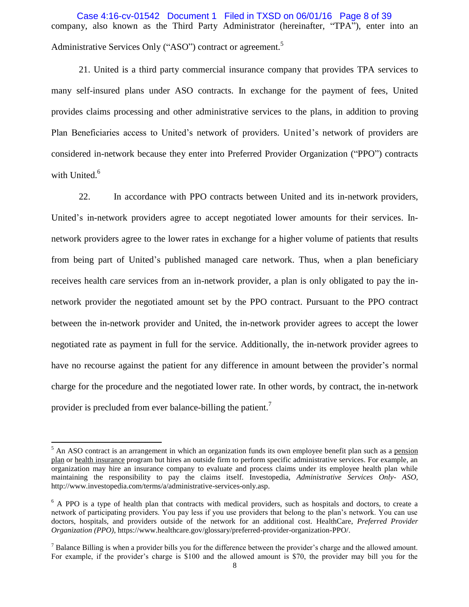company, also known as the Third Party Administrator (hereinafter, "TPA"), enter into an Administrative Services Only ("ASO") contract or agreement.<sup>5</sup> Case 4:16-cv-01542 Document 1 Filed in TXSD on 06/01/16 Page 8 of 39

21. United is a third party commercial insurance company that provides TPA services to many self-insured plans under ASO contracts. In exchange for the payment of fees, United provides claims processing and other administrative services to the plans, in addition to proving Plan Beneficiaries access to United's network of providers. United's network of providers are considered in-network because they enter into Preferred Provider Organization ("PPO") contracts with United.<sup>6</sup>

22. In accordance with PPO contracts between United and its in-network providers, United's in-network providers agree to accept negotiated lower amounts for their services. Innetwork providers agree to the lower rates in exchange for a higher volume of patients that results from being part of United's published managed care network. Thus, when a plan beneficiary receives health care services from an in-network provider, a plan is only obligated to pay the innetwork provider the negotiated amount set by the PPO contract. Pursuant to the PPO contract between the in-network provider and United, the in-network provider agrees to accept the lower negotiated rate as payment in full for the service. Additionally, the in-network provider agrees to have no recourse against the patient for any difference in amount between the provider's normal charge for the procedure and the negotiated lower rate. In other words, by contract, the in-network provider is precluded from ever balance-billing the patient.<sup>7</sup>

 $\overline{a}$ 

 $<sup>5</sup>$  An ASO contract is an arrangement in which an organization funds its own employee benefit plan such as a pension</sup> [plan](http://www.investopedia.com/terms/p/pensionplan.asp) or [health insurance](http://www.investopedia.com/terms/h/healthinsurance.asp) program but hires an outside firm to perform specific administrative services. For example, an organization may hire an insurance company to evaluate and process claims under its employee health plan while maintaining the responsibility to pay the claims itself. Investopedia, *Administrative Services Only- ASO,*  [http://www.investopedia.com/terms/a/administrative-services-only.asp.](http://www.investopedia.com/terms/a/administrative-services-only.asp)

 $6$  A PPO is a type of health plan that contracts with medical providers, such as hospitals and doctors, to create a network of participating providers. You pay less if you use providers that belong to the plan's network. You can use doctors, hospitals, and providers outside of the network for an additional cost. HealthCare, *Preferred Provider Organization (PPO)*, [https://www.healthcare.gov/glossary/preferred-provider-organization-PPO/.](https://www.healthcare.gov/glossary/preferred-provider-organization-PPO/)

 $<sup>7</sup>$  Balance Billing is when a provider bills you for the difference between the provider's charge and the allowed amount.</sup> For example, if the provider's charge is \$100 and the allowed amount is \$70, the provider may bill you for the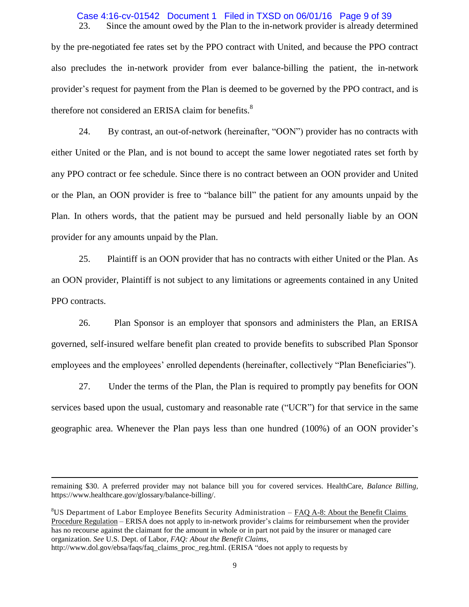# Case 4:16-cv-01542 Document 1 Filed in TXSD on 06/01/16 Page 9 of 39

23. Since the amount owed by the Plan to the in-network provider is already determined by the pre-negotiated fee rates set by the PPO contract with United, and because the PPO contract also precludes the in-network provider from ever balance-billing the patient, the in-network provider's request for payment from the Plan is deemed to be governed by the PPO contract, and is therefore not considered an ERISA claim for benefits.<sup>8</sup>

24. By contrast, an out-of-network (hereinafter, "OON") provider has no contracts with either United or the Plan, and is not bound to accept the same lower negotiated rates set forth by any PPO contract or fee schedule. Since there is no contract between an OON provider and United or the Plan, an OON provider is free to "balance bill" the patient for any amounts unpaid by the Plan. In others words, that the patient may be pursued and held personally liable by an OON provider for any amounts unpaid by the Plan.

25. Plaintiff is an OON provider that has no contracts with either United or the Plan. As an OON provider, Plaintiff is not subject to any limitations or agreements contained in any United PPO contracts.

26. Plan Sponsor is an employer that sponsors and administers the Plan, an ERISA governed, self-insured welfare benefit plan created to provide benefits to subscribed Plan Sponsor employees and the employees' enrolled dependents (hereinafter, collectively "Plan Beneficiaries").

27. Under the terms of the Plan, the Plan is required to promptly pay benefits for OON services based upon the usual, customary and reasonable rate ("UCR") for that service in the same geographic area. Whenever the Plan pays less than one hundred (100%) of an OON provider's

 $8\text{US}$  Department of Labor Employee Benefits Security Administration – FAQ A-8: About the Benefit Claims Procedure Regulation – ERISA does not apply to in-network provider's claims for reimbursement when the provider has no recourse against the claimant for the amount in whole or in part not paid by the insurer or managed care organization. *See* U.S. Dept. of Labor, *FAQ: About the Benefit Claims*,

 $\ddot{\phantom{a}}$ 

remaining \$30. A preferred provider may not balance bill you for covered services. HealthCare, *Balance Billing,*  [https://www.healthcare.gov/glossary/balance-billing/.](https://www.healthcare.gov/glossary/balance-billing/)

[http://www.dol.gov/ebsa/faqs/faq\\_claims\\_proc\\_reg.html.](http://www.dol.gov/ebsa/faqs/faq_claims_proc_reg.html) (ERISA "does not apply to requests by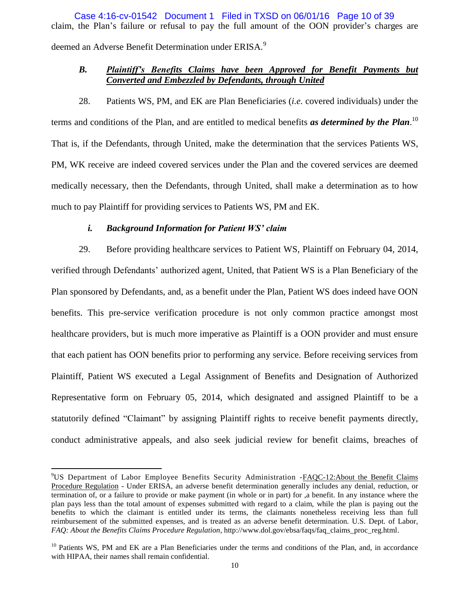claim, the Plan's failure or refusal to pay the full amount of the OON provider's charges are deemed an Adverse Benefit Determination under ERISA.<sup>9</sup> Case 4:16-cv-01542 Document 1 Filed in TXSD on 06/01/16 Page 10 of 39

# *B. Plaintiff's Benefits Claims have been Approved for Benefit Payments but Converted and Embezzled by Defendants, through United*

28. Patients WS, PM, and EK are Plan Beneficiaries (*i.e.* covered individuals) under the terms and conditions of the Plan, and are entitled to medical benefits *as determined by the Plan*. 10 That is, if the Defendants, through United, make the determination that the services Patients WS, PM, WK receive are indeed covered services under the Plan and the covered services are deemed medically necessary, then the Defendants, through United, shall make a determination as to how much to pay Plaintiff for providing services to Patients WS, PM and EK.

## *i. Background Information for Patient WS' claim*

 $\overline{a}$ 

29. Before providing healthcare services to Patient WS, Plaintiff on February 04, 2014, verified through Defendants' authorized agent, United, that Patient WS is a Plan Beneficiary of the Plan sponsored by Defendants, and, as a benefit under the Plan, Patient WS does indeed have OON benefits. This pre-service verification procedure is not only common practice amongst most healthcare providers, but is much more imperative as Plaintiff is a OON provider and must ensure that each patient has OON benefits prior to performing any service. Before receiving services from Plaintiff, Patient WS executed a Legal Assignment of Benefits and Designation of Authorized Representative form on February 05, 2014, which designated and assigned Plaintiff to be a statutorily defined "Claimant" by assigning Plaintiff rights to receive benefit payments directly, conduct administrative appeals, and also seek judicial review for benefit claims, breaches of

<sup>9</sup>US Department of Labor Employee Benefits Security Administration -FAQC-12:About the Benefit Claims Procedure Regulation - Under ERISA, an adverse benefit determination generally includes any denial, reduction, or termination of, or a failure to provide or make payment (in whole or in part) for ,a benefit. In any instance where the plan pays less than the total amount of expenses submitted with regard to a claim, while the plan is paying out the benefits to which the claimant is entitled under its terms, the claimants nonetheless receiving less than full reimbursement of the submitted expenses, and is treated as an adverse benefit determination. U.S. Dept. of Labor, *FAQ: About the Benefits Claims Procedure Regulation*[, http://www.dol.gov/ebsa/faqs/faq\\_claims\\_proc\\_reg.html.](http://www.dol.gov/ebsa/faqs/faq_claims_proc_reg.html)

 $10$  Patients WS, PM and EK are a Plan Beneficiaries under the terms and conditions of the Plan, and, in accordance with HIPAA, their names shall remain confidential.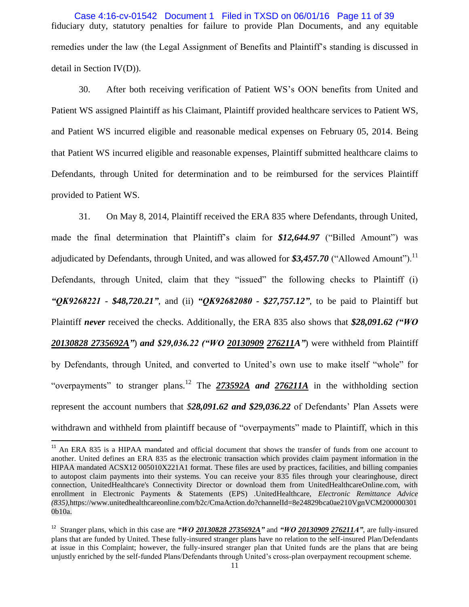fiduciary duty, statutory penalties for failure to provide Plan Documents, and any equitable remedies under the law (the Legal Assignment of Benefits and Plaintiff's standing is discussed in detail in Section IV(D)). Case 4:16-cv-01542 Document 1 Filed in TXSD on 06/01/16 Page 11 of 39

30. After both receiving verification of Patient WS's OON benefits from United and Patient WS assigned Plaintiff as his Claimant, Plaintiff provided healthcare services to Patient WS, and Patient WS incurred eligible and reasonable medical expenses on February 05, 2014. Being that Patient WS incurred eligible and reasonable expenses, Plaintiff submitted healthcare claims to Defendants, through United for determination and to be reimbursed for the services Plaintiff provided to Patient WS.

31. On May 8, 2014, Plaintiff received the ERA 835 where Defendants, through United, made the final determination that Plaintiff's claim for \$12,644.97 ("Billed Amount") was adjudicated by Defendants, through United, and was allowed for  $$3,457.70$  ("Allowed Amount").<sup>11</sup> Defendants, through United, claim that they "issued" the following checks to Plaintiff (i) *"QK9268221 - \$48,720.21"*, and (ii) *"QK92682080 - \$27,757.12"*, to be paid to Plaintiff but Plaintiff *never* received the checks. Additionally, the ERA 835 also shows that *\$28,091.62 ("WO 20130828 2735692A"*) *and \$29,036.22 ("WO 20130909 276211A"*) were withheld from Plaintiff by Defendants, through United, and converted to United's own use to make itself "whole" for "overpayments" to stranger plans.<sup>12</sup> The **273592A** and **276211A** in the withholding section represent the account numbers that *\$28,091.62 and \$29,036.22* of Defendants' Plan Assets were withdrawn and withheld from plaintiff because of "overpayments" made to Plaintiff, which in this

 $\overline{a}$ 

<sup>&</sup>lt;sup>11</sup> An ERA 835 is a HIPAA mandated and official document that shows the transfer of funds from one account to another. United defines an ERA 835 as the electronic transaction which provides claim payment information in the HIPAA mandated ACSX12 005010X221A1 format. These files are used by practices, facilities, and billing companies to autopost claim payments into their systems. You can receive your 835 files through your clearinghouse, direct connection, UnitedHealthcare's Connectivity Director or download them from UnitedHealthcareOnline.com, with enrollment in Electronic Payments & Statements (EPS) .UnitedHealthcare, *Electronic Remittance Advice (835),*https://www.unitedhealthcareonline.com/b2c/CmaAction.do?channelId=8e24829bca0ae210VgnVCM200000301 0b10a.

<sup>12</sup> Stranger plans, which in this case are *"WO 20130828 2735692A"* and *"WO 20130909 276211A"*, are fully-insured plans that are funded by United. These fully-insured stranger plans have no relation to the self-insured Plan/Defendants at issue in this Complaint; however, the fully-insured stranger plan that United funds are the plans that are being unjustly enriched by the self-funded Plans/Defendants through United's cross-plan overpayment recoupment scheme.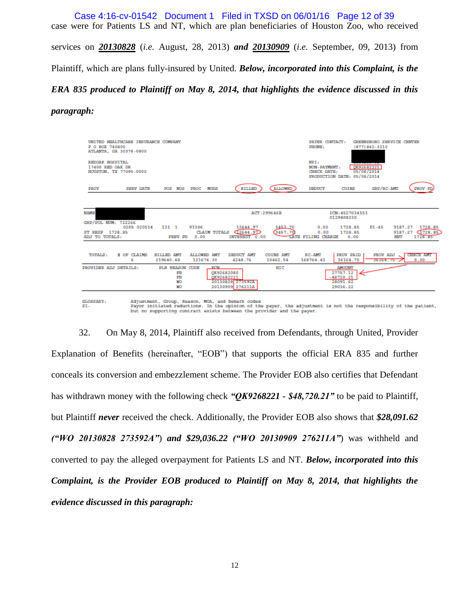case were for Patients LS and NT, which are plan beneficiaries of Houston Zoo, who received services on *20130828* (*i.e.* August, 28, 2013) *and 20130909* (*i.e.* September, 09, 2013) from Plaintiff, which are plans fully-insured by United. *Below, incorporated into this Complaint, is the ERA 835 produced to Plaintiff on May 8, 2014, that highlights the evidence discussed in this*  Case 4:16-cv-01542 Document 1 Filed in TXSD on 06/01/16 Page 12 of 39

#### *paragraph:*



32. On May 8, 2014, Plaintiff also received from Defendants, through United, Provider Explanation of Benefits (hereinafter, "EOB") that supports the official ERA 835 and further conceals its conversion and embezzlement scheme. The Provider EOB also certifies that Defendant has withdrawn money with the following check *"QK9268221 - \$48,720.21"* to be paid to Plaintiff, but Plaintiff *never* received the check. Additionally, the Provider EOB also shows that *\$28,091.62 ("WO 20130828 273592A"*) *and \$29,036.22 ("WO 20130909 276211A"*) was withheld and converted to pay the alleged overpayment for Patients LS and NT. *Below, incorporated into this Complaint, is the Provider EOB produced to Plaintiff on May 8, 2014, that highlights the evidence discussed in this paragraph:*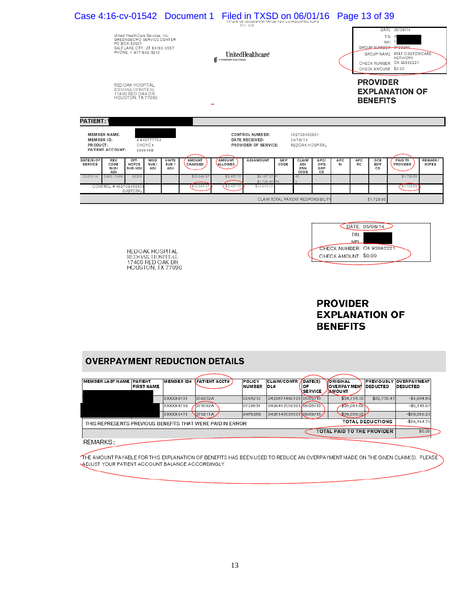|                                            |                                         |                                                                                                                                         |                                  |                               | Case 4:16-cv-01542 Document 1 Filed in TXSD on 06/01/16 |                                                   | $STD - FOR$                                                             |                    |                                             |                                   |            |                                                                                                                                                        | Page 13 of 39                      |                       |                         |  |
|--------------------------------------------|-----------------------------------------|-----------------------------------------------------------------------------------------------------------------------------------------|----------------------------------|-------------------------------|---------------------------------------------------------|---------------------------------------------------|-------------------------------------------------------------------------|--------------------|---------------------------------------------|-----------------------------------|------------|--------------------------------------------------------------------------------------------------------------------------------------------------------|------------------------------------|-----------------------|-------------------------|--|
|                                            |                                         | United HealthCare Services, Inc.<br>GREENSBORO SERVICE CENTER<br>PO BOX 30557<br>SALT LAKE CITY, UT 84130-0557<br>PHONE: 1-877-842-3210 |                                  |                               |                                                         | UnitedHealthcare<br>A United Health Group Company |                                                                         |                    |                                             |                                   |            | DATE: 05/08/14<br>TIN:<br>NPI:<br>GROUP NUMBER: 0722266<br>GROUP NAME: AT&T CUSTOMCARE<br>NETWORK<br>CHECK NUMBER: QK 92682221<br>CHECK AMOUNT: \$0.00 |                                    |                       |                         |  |
|                                            |                                         | RED OAK HOSPITAL<br>REDOAK HOSPITAL<br>17400 RED OAK DR<br>HOUSTON, TX 77090                                                            |                                  |                               |                                                         |                                                   |                                                                         |                    |                                             |                                   |            |                                                                                                                                                        | <b>PROVIDER</b><br><b>BENEFITS</b> | <b>EXPLANATION OF</b> |                         |  |
| <b>PATIENT:</b><br>MEMBER ID:<br>PR ODUCT: | <b>MEMBER NAME:</b><br>PATIENT ACCOUNT: |                                                                                                                                         | A 845777754<br>CHOYC+<br>299646B |                               |                                                         |                                                   | <b>CONTROL NUMBER:</b><br><b>DATE RECEIVED:</b><br>PROVIDER OF SERVICE: |                    | 452703455301<br>04/18/14<br>REDOAK HOSPITAL |                                   |            |                                                                                                                                                        |                                    |                       |                         |  |
| DATE(S) OF<br><b>SERVICE</b>               | REV<br>CODE<br>SUB/<br><b>ADJ</b>       | CPT-<br><b>HCPCS</b><br>SUB/ADJ                                                                                                         | <b>MOD</b><br>SUB/<br><b>ADJ</b> | <b>UNITS</b><br>SUB /<br>AD J | <b>AMOUNT</b><br>CHARGED                                | AMOUNT<br>ALLOWED                                 | <b>ADJAMOUNT</b>                                                        | <b>GRP</b><br>CODE | CLAIM<br>ADJ<br><b>RSN</b><br>CODE          | APC/<br>OPG<br>GRP<br>CD          | APC.<br>SI | APC<br>RC                                                                                                                                              | OCE<br>ED <sub>IT</sub><br>CD      | PAID TO<br>PROVIDER   | REMARK/<br><b>NOTES</b> |  |
| 02/05/14                                   | 0483/0489                               | 93306                                                                                                                                   |                                  |                               | \$12,644.9                                              | \$3,457.70                                        | \$9.187.27<br>\$1,728.85                                                |                    | 45                                          |                                   |            |                                                                                                                                                        |                                    | \$1,728.85            |                         |  |
|                                            | CONTROL #45270345530                    | <b>SUBTOTAL</b>                                                                                                                         |                                  |                               | \$12,644.9                                              | \$3,457.70                                        | \$10.916.12                                                             |                    |                                             |                                   |            |                                                                                                                                                        |                                    | \$1,728.85            |                         |  |
|                                            |                                         |                                                                                                                                         |                                  |                               |                                                         |                                                   |                                                                         |                    |                                             | CLAIM TOTAL PATIENT RESPONSIBILIT |            |                                                                                                                                                        | \$1,728.85                         |                       |                         |  |
|                                            |                                         |                                                                                                                                         |                                  |                               |                                                         |                                                   |                                                                         |                    |                                             |                                   |            |                                                                                                                                                        |                                    |                       |                         |  |

REDOAK HOSPITAL<br>REDOAK HOSPITAL<br>17400 RED OAK DR<br>HOUSTON, TX 77090



# **PROVIDER EXPLANATION OF BENEFITS**

# **OVERPAYMENT REDUCTION DETAILS**

| <b>MEMBER LAST NAME PATIENT</b>                           | <b>FIRST NAME</b> | <b>MEMBER ID#</b> | <b>IPATIENT ACCT#</b> | POLICY<br><b>NUMBER</b> | <b>CLAIM/CONTR</b><br>OL# | ADATE(S)<br><b>OF</b><br>SERVICE | <b>VORIGINAL</b><br><b>NOVERPAYMENT IDEDUCTED</b><br><b>AMOUNT</b> |                         | <b>PREVIOUSLY OVERPAYMENT</b><br><b>DEDUCTED</b> |
|-----------------------------------------------------------|-------------------|-------------------|-----------------------|-------------------------|---------------------------|----------------------------------|--------------------------------------------------------------------|-------------------------|--------------------------------------------------|
|                                                           |                   | XXXXX9131         | 259232A               | 0268272                 | 0423871460101 05/02/13    |                                  | \$34.718.33                                                        | \$32,733.47             | $-$1.984.86$                                     |
|                                                           |                   | XXXXX4719         | 273592A               | 0729831                 | 0426412556301 08/28/13    |                                  | 28.091.62                                                          |                         | $-$5.143.67$                                     |
|                                                           |                   | XXXXX1471         | 276211A               | 04P9289                 | 042814853150109/09/13     |                                  | \$29,036.22                                                        |                         | $-$29.036.22$                                    |
| THIS REPRESENTS PREVIOUS BENEFITS THAT WERE PAID IN ERROR |                   |                   |                       |                         |                           |                                  |                                                                    | <b>TOTAL DEDUCTIONS</b> | $-$36,164.75$                                    |
|                                                           |                   |                   |                       |                         |                           |                                  | TOTAL PAID TO THE PROVIDER                                         |                         | \$0.00                                           |
| REMARKS::                                                 |                   |                   |                       |                         |                           |                                  |                                                                    |                         |                                                  |

THE AMOUNT PAYABLE FOR THIS EXPLANATION OF BENEFITS HAS BEEN USED TO REDUCE AN OVERPAYMENT MADE ON THE GIVEN CLAIM(S). PLEASE A BUUST YOUR PATIENT ACCOUNT BALANCE ACCORDINGLY.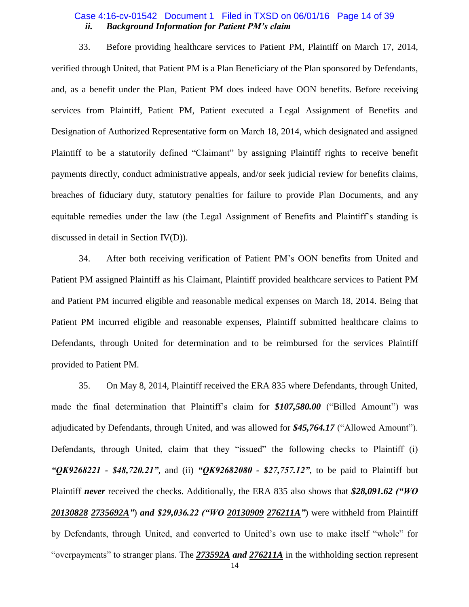### *ii. Background Information for Patient PM's claim* Case 4:16-cv-01542 Document 1 Filed in TXSD on 06/01/16 Page 14 of 39

33. Before providing healthcare services to Patient PM, Plaintiff on March 17, 2014, verified through United, that Patient PM is a Plan Beneficiary of the Plan sponsored by Defendants, and, as a benefit under the Plan, Patient PM does indeed have OON benefits. Before receiving services from Plaintiff, Patient PM, Patient executed a Legal Assignment of Benefits and Designation of Authorized Representative form on March 18, 2014, which designated and assigned Plaintiff to be a statutorily defined "Claimant" by assigning Plaintiff rights to receive benefit payments directly, conduct administrative appeals, and/or seek judicial review for benefits claims, breaches of fiduciary duty, statutory penalties for failure to provide Plan Documents, and any equitable remedies under the law (the Legal Assignment of Benefits and Plaintiff's standing is discussed in detail in Section IV(D)).

34. After both receiving verification of Patient PM's OON benefits from United and Patient PM assigned Plaintiff as his Claimant, Plaintiff provided healthcare services to Patient PM and Patient PM incurred eligible and reasonable medical expenses on March 18, 2014. Being that Patient PM incurred eligible and reasonable expenses, Plaintiff submitted healthcare claims to Defendants, through United for determination and to be reimbursed for the services Plaintiff provided to Patient PM.

35. On May 8, 2014, Plaintiff received the ERA 835 where Defendants, through United, made the final determination that Plaintiff's claim for **\$107,580.00** ("Billed Amount") was adjudicated by Defendants, through United, and was allowed for \$45,764.17 ("Allowed Amount"). Defendants, through United, claim that they "issued" the following checks to Plaintiff (i) *"QK9268221 - \$48,720.21"*, and (ii) *"QK92682080 - \$27,757.12"*, to be paid to Plaintiff but Plaintiff *never* received the checks. Additionally, the ERA 835 also shows that *\$28,091.62 ("WO 20130828 2735692A"*) *and \$29,036.22 ("WO 20130909 276211A"*) were withheld from Plaintiff by Defendants, through United, and converted to United's own use to make itself "whole" for "overpayments" to stranger plans. The **273592A** and **276211A** in the withholding section represent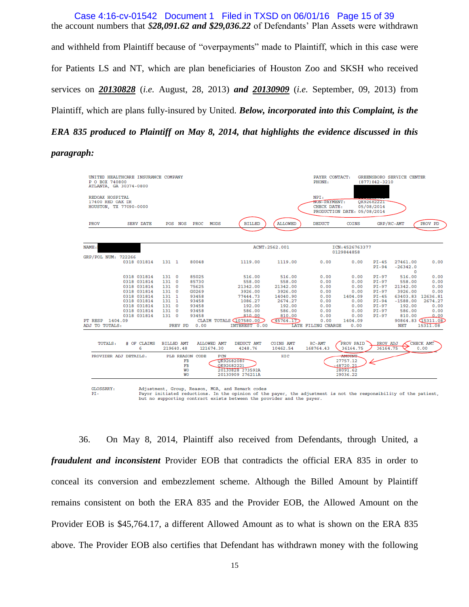the account numbers that *\$28,091.62 and \$29,036.22* of Defendants' Plan Assets were withdrawn and withheld from Plaintiff because of "overpayments" made to Plaintiff, which in this case were for Patients LS and NT, which are plan beneficiaries of Houston Zoo and SKSH who received services on *20130828* (*i.e.* August, 28, 2013) *and 20130909* (*i.e.* September, 09, 2013) from Plaintiff, which are plans fully-insured by United. *Below, incorporated into this Complaint, is the ERA 835 produced to Plaintiff on May 8, 2014, that highlights the evidence discussed in this*  Case 4:16-cv-01542 Document 1 Filed in TXSD on 06/01/16 Page 15 of 39

### *paragraph:*

| P O ROX 740800                      | UNITED HEALTHCARE INSURANCE COMPANY<br>ATLANTA, GA 30374-0800 |                   |                                    |                 |                                 |                                                                                                                                                                                                                                                |                              | PAYER CONTACT:<br>PHONE:            |                                                            | $(877)842 - 3210$        | GREENSBORO SERVICE CENTER          |                             |
|-------------------------------------|---------------------------------------------------------------|-------------------|------------------------------------|-----------------|---------------------------------|------------------------------------------------------------------------------------------------------------------------------------------------------------------------------------------------------------------------------------------------|------------------------------|-------------------------------------|------------------------------------------------------------|--------------------------|------------------------------------|-----------------------------|
| REDOAK HOSPITAL<br>17400 RED OAK DR | HOUSTON, TX 77090-0000                                        |                   |                                    |                 |                                 |                                                                                                                                                                                                                                                |                              | NPI:<br>NON-PAYMENT:<br>CHECK DATE: | PRODUCTION DATE: 05/08/2014                                | OK92682221<br>05/08/2014 |                                    |                             |
| PROV                                | <b>SERV DATE</b>                                              |                   | POS NOS                            | PROC            | <b>MODS</b>                     | <b>BILLED</b>                                                                                                                                                                                                                                  | <b>ALLOWED</b>               | <b>DEDUCT</b>                       | COINS                                                      |                          | GRP/RC-AMT                         | PROV PD                     |
| NAME:                               |                                                               |                   |                                    |                 |                                 |                                                                                                                                                                                                                                                | ACNT: 2562.001               |                                     | ICN: 4526763377                                            |                          |                                    |                             |
|                                     |                                                               |                   |                                    |                 |                                 |                                                                                                                                                                                                                                                |                              |                                     | 0129844858                                                 |                          |                                    |                             |
| GRP/POL NUM: 722266                 | 0318 031814                                                   | 131 1             |                                    | 80048           |                                 | 1119.00                                                                                                                                                                                                                                        | 1119.00                      | 0.00                                | 0.00                                                       | $PI-45$<br>$PI-94$       | 27461.00<br>$-26342.0$<br>$\Omega$ | 0.00                        |
|                                     | 0318 031814                                                   | 1310              |                                    | 85025           |                                 | 516.00                                                                                                                                                                                                                                         | 516.00                       | 0.00                                | 0.00                                                       | PI-97                    | 516.00                             | 0.00                        |
|                                     | 0318 031814                                                   | 131 0             |                                    | 85730           |                                 | 558.00                                                                                                                                                                                                                                         | 558.00                       | 0.00                                | 0.00                                                       | $PI-97$                  | 558.00                             | 0.00                        |
|                                     | 0318 031814                                                   | 131               | $^{\circ}$                         | 75625           |                                 | 21342.00                                                                                                                                                                                                                                       | 21342.00                     | 0.00                                | 0.00                                                       | PI-97                    | 21342.00                           | 0.00                        |
|                                     | 0318 031814                                                   | 1310              |                                    | G0269           |                                 | 3926.00                                                                                                                                                                                                                                        | 3926.00                      | 0.00                                | 0.00                                                       | PI-97                    | 3926.00                            | 0.00                        |
|                                     | 0318 031814                                                   | 131 1             |                                    | 93458           |                                 | 77444.73                                                                                                                                                                                                                                       | 14040.90                     | 0.00                                | 1404.09                                                    | $PI-45$                  |                                    | 63403.83 12636.81           |
|                                     | 0318 031814                                                   | 131 1             |                                    | 93458           |                                 | 1086.27                                                                                                                                                                                                                                        | 2674.27                      | 0.00                                | 0.00                                                       | $PI-94$                  | $-1588.00$                         | 2674.27                     |
|                                     | 0318 031814                                                   | 1310              |                                    | 93458           |                                 | 192.00                                                                                                                                                                                                                                         | 192.00                       | 0.00                                | 0.00                                                       | PI-97                    | 192.00                             | 0.00                        |
|                                     | 0318 031814                                                   | 131 0             |                                    | 93458           |                                 | 586.00                                                                                                                                                                                                                                         | 586.00                       | 0.00                                | 0.00                                                       | PI-97                    | 586.00                             | 0.00                        |
| PT RESP 1404.09                     | 0318 031814                                                   | 131 0             |                                    | 93458           |                                 | 810.00<br>CLAIM TOTALS (107580.00)                                                                                                                                                                                                             | 810.00<br>(45764.17)         | 0.00<br>0.00                        | 0.00<br>1404.09                                            | $PI-97$                  | 810.00                             | 0.00<br>90864.83 (15311.08) |
| ADJ TO TOTALS:                      |                                                               |                   |                                    | PREV PD 0.00    |                                 | INTEREST 0.00                                                                                                                                                                                                                                  |                              | LATE FILING CHARGE                  | 0.00                                                       |                          | NET                                | 15311.08                    |
|                                     |                                                               |                   |                                    |                 |                                 |                                                                                                                                                                                                                                                |                              |                                     |                                                            |                          |                                    |                             |
| TOTALS:                             | # OF CLAIMS<br>6                                              | <b>BILLED AMT</b> | 219640.48                          |                 | <b>ALLOWED AMT</b><br>121674.30 | DEDUCT AMT<br>4248.76                                                                                                                                                                                                                          | <b>COINS AMT</b><br>10462.54 | $RC-AMT$<br>168764.43               | PROV PAID<br>36164.75                                      | PROV ADJ<br>36164.75     |                                    | CHECK AMT<br>0.00           |
|                                     |                                                               |                   |                                    |                 |                                 |                                                                                                                                                                                                                                                |                              |                                     |                                                            |                          |                                    |                             |
|                                     | PROVIDER ADJ DETAILS:                                         |                   | FB<br>FB<br><b>WO</b><br><b>WO</b> | PLB REASON CODE | <b>FCN</b>                      | OK92682080<br>OK92682221<br>20130828 273592A<br>20130909 276211A                                                                                                                                                                               | HIC                          |                                     | AMOUNT.<br>27757.12<br>$-48720.21$<br>28091.62<br>29036.22 |                          |                                    |                             |
| GLOSSARY:<br>$PT -$                 |                                                               |                   |                                    |                 |                                 | Adjustment, Group, Reason, MOA, and Remark codes<br>Payor initiated reductions. In the opinion of the payer, the adjustment is not the responsibility of the patient,<br>but no supporting contract exists between the provider and the payer. |                              |                                     |                                                            |                          |                                    |                             |

36. On May 8, 2014, Plaintiff also received from Defendants, through United, a *fraudulent and inconsistent* Provider EOB that contradicts the official ERA 835 in order to conceal its conversion and embezzlement scheme. Although the Billed Amount by Plaintiff remains consistent on both the ERA 835 and the Provider EOB, the Allowed Amount on the Provider EOB is \$45,764.17, a different Allowed Amount as to what is shown on the ERA 835 above. The Provider EOB also certifies that Defendant has withdrawn money with the following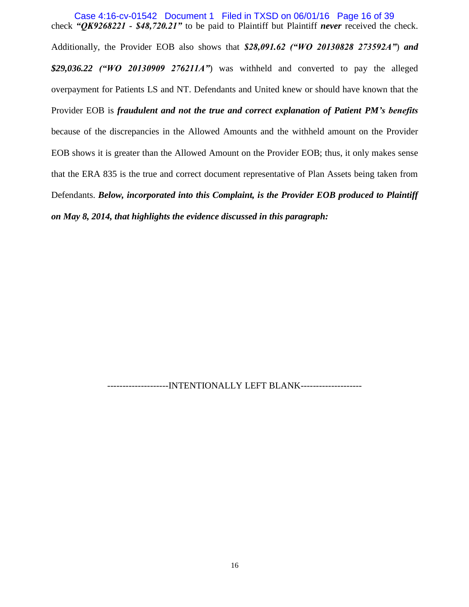check *"QK9268221 - \$48,720.21"* to be paid to Plaintiff but Plaintiff *never* received the check. Additionally, the Provider EOB also shows that *\$28,091.62 ("WO 20130828 273592A"*) *and \$29,036.22 ("WO 20130909 276211A"*) was withheld and converted to pay the alleged overpayment for Patients LS and NT. Defendants and United knew or should have known that the Provider EOB is *fraudulent and not the true and correct explanation of Patient PM's benefits* because of the discrepancies in the Allowed Amounts and the withheld amount on the Provider EOB shows it is greater than the Allowed Amount on the Provider EOB; thus, it only makes sense that the ERA 835 is the true and correct document representative of Plan Assets being taken from Defendants. *Below, incorporated into this Complaint, is the Provider EOB produced to Plaintiff on May 8, 2014, that highlights the evidence discussed in this paragraph:* Case 4:16-cv-01542 Document 1 Filed in TXSD on 06/01/16 Page 16 of 39

--------------------INTENTIONALLY LEFT BLANK--------------------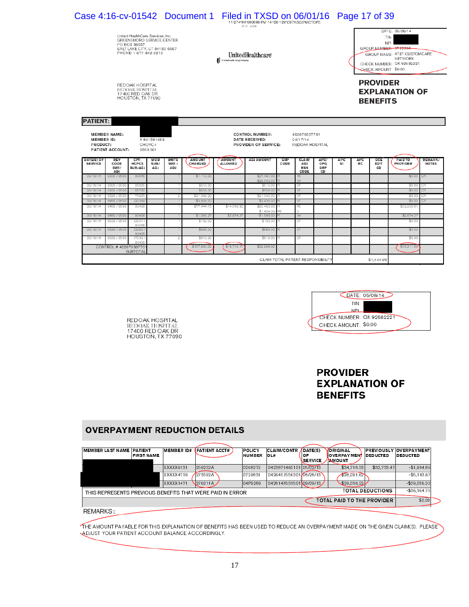|                                                                                                          | Case 4:16-cv-01542 Document 1 Filed in TXSD on 06/01/16               |                                                                                                                                          |                                                         |                              |                          |                                 | 11-274*04*000008-PM-14128-120*C07ASOJPMCTOPS<br>STD - FOR                             |             |                                                                                  |                    |                   |                  | Page 17 of 39                      |                                                                                                                                                               |              |
|----------------------------------------------------------------------------------------------------------|-----------------------------------------------------------------------|------------------------------------------------------------------------------------------------------------------------------------------|---------------------------------------------------------|------------------------------|--------------------------|---------------------------------|---------------------------------------------------------------------------------------|-------------|----------------------------------------------------------------------------------|--------------------|-------------------|------------------|------------------------------------|---------------------------------------------------------------------------------------------------------------------------------------------------------------|--------------|
|                                                                                                          |                                                                       | United Health Care Services, Inc.<br>GREENSBORO SERVICE CENTER<br>PO BOX 30557<br>SALT LAKE CITY, UT 84130-0557<br>PHONE: 1-877-842-3210 |                                                         |                              |                          | A United Health Group Company   | UnitedHealthcare                                                                      |             |                                                                                  |                    |                   |                  |                                    | DATE: 05/08/14<br>TIN:<br>NPI:<br>GROUP NUMBER: 0722266<br>GROUP NAME: AT&T CUSTOMCARE<br><b>NETWORK</b><br>CHECK NUMBER: QK 92682221<br>CHECK AMOUNT: \$0.00 |              |
|                                                                                                          |                                                                       | REDOAK HOSPITAL<br>REDOAK HOSPITAL<br>17400 RED OAK DR<br>HOUSTON, TX 77090                                                              |                                                         |                              |                          |                                 |                                                                                       |             |                                                                                  |                    |                   |                  | <b>PROVIDER</b><br><b>BENEFITS</b> | <b>EXPLANATION OF</b>                                                                                                                                         |              |
| <b>PATIENT:</b>                                                                                          |                                                                       |                                                                                                                                          |                                                         |                              |                          |                                 |                                                                                       |             |                                                                                  |                    |                   |                  |                                    |                                                                                                                                                               |              |
| <b>MEMBER ID:</b><br>PRODUCT:<br>DATE(S) OF<br><b>SERVICE</b>                                            | <b>MEMBER NAME:</b><br>PATIENT ACCOUNT:<br><b>REV</b><br>CODE<br>SUB/ | CPT-<br><b>HCPCS</b><br>SUB/ADJ                                                                                                          | A 841591483<br>CHOYC+<br>2562.001<br>MOD<br>SUB/<br>ADJ | <b>UNITS</b><br>SUB /<br>ADJ | <b>AMOUNT</b><br>CHARGED | <b>AMOUNT</b><br><b>ALLOWED</b> | <b>CONTROL NUMBER:</b><br>DATE RECEIVED:<br>PROVIDER OF SERVICE:<br><b>ADJ AMOUNT</b> | GRP<br>CODE | 452676337701<br>04/17/14<br>REDOAK HOSPITAL<br><b>CLAIM</b><br>ADJ<br><b>RSN</b> | APC/<br>OPG<br>GRP | <b>APC</b><br>SI. | <b>APC</b><br>RC | OCE<br>EDIT<br>CD                  | <b>PAID TO</b><br><b>PROVIDER</b>                                                                                                                             | <b>NOTES</b> |
| 03/18/14                                                                                                 | ADJ<br>0300 / 0500                                                    | 80048                                                                                                                                    |                                                         |                              | \$1.119.00               |                                 | \$27,461.00                                                                           |             | <b>CODE</b><br>45                                                                | CD                 |                   |                  |                                    | \$0.00 CY                                                                                                                                                     |              |
|                                                                                                          |                                                                       |                                                                                                                                          |                                                         |                              |                          |                                 | $-$26.342.00$                                                                         |             | 94                                                                               |                    |                   |                  |                                    |                                                                                                                                                               |              |
|                                                                                                          | 0300 / 0500                                                           | 85025                                                                                                                                    |                                                         |                              | \$516.00                 |                                 | \$516.00                                                                              |             | 97                                                                               |                    |                   |                  |                                    | \$0.00                                                                                                                                                        | CY           |
|                                                                                                          | 0300 / 0500                                                           | 85730                                                                                                                                    |                                                         |                              | \$558.00                 |                                 | \$558.00                                                                              |             | 97                                                                               |                    |                   |                  |                                    | \$0.00                                                                                                                                                        | CY           |
|                                                                                                          | 0320 / 0500                                                           | 75625                                                                                                                                    |                                                         | $\overline{2}$               | \$21.342.00              |                                 | \$21,342.00                                                                           |             | 97                                                                               |                    |                   |                  |                                    | \$0.00                                                                                                                                                        | СY           |
|                                                                                                          | 0450 / 0500                                                           | G0269                                                                                                                                    |                                                         |                              | \$3,926.00               |                                 | \$3,926.00                                                                            |             | 97                                                                               |                    |                   |                  |                                    | \$0.00                                                                                                                                                        | CY           |
|                                                                                                          | 0480 / 0500                                                           | 93458                                                                                                                                    |                                                         |                              | \$77,444.73              | \$14,040.90                     | \$63,403.83<br>\$1,404.09                                                             |             | 45                                                                               |                    |                   |                  |                                    | \$12,636.81                                                                                                                                                   |              |
|                                                                                                          | 0480 / 0500                                                           | 93458                                                                                                                                    |                                                         |                              | \$1,086.27               | \$2,674.27                      | $-$1,588.00$                                                                          |             | 94                                                                               |                    |                   |                  |                                    | \$2,674.27                                                                                                                                                    |              |
|                                                                                                          | 0636 / 0500                                                           | J2001/                                                                                                                                   |                                                         |                              | \$192.00                 |                                 | \$192.00                                                                              |             | 97                                                                               |                    |                   |                  |                                    | \$0.00                                                                                                                                                        |              |
|                                                                                                          | 0636 / 0500                                                           | 93458<br>J2250/                                                                                                                          |                                                         |                              | \$586.00                 |                                 | \$586.00                                                                              |             | 97                                                                               |                    |                   |                  |                                    | \$0.00                                                                                                                                                        |              |
| 03/18/14<br>03/18/14<br>03/18/14<br>03/18/14<br>03/18/14<br>03/18/14<br>03/18/14<br>03/18/14<br>03/18/14 | 0636 / 0500                                                           | 93458<br>J7030/<br>93458                                                                                                                 |                                                         |                              | \$810.00                 |                                 | \$810.00                                                                              |             | 97                                                                               |                    |                   |                  |                                    | \$0.00                                                                                                                                                        | REMARK/      |



# **PROVIDER EXPLANATION OF BENEFITS**

# **OVERPAYMENT REDUCTION DETAILS**

REDOAK HOSPITAL<br>REDOAK HOSPITAL<br>17400 RED OAK DR<br>HOUSTON, TX 77090

| MEMBER LAST NAME PATIENT                                  | <b>FIRST NAME</b> | <b>MEMBER ID#</b> | <b>PATIENT ACCT#</b> | POLICY<br><b>NUMBER</b> | <b>CLAIM/CONTR</b><br>OL# | DATE(S)<br>OF<br><b>SERVICE</b> | VORIGINAL<br><b>WOVERPAYMENT</b><br><b>NMOUNT</b> | <b>DEDUCTED</b>         | <b>PREVIOUSLY OVERPAYMENT</b><br><b>DEDUCTED</b> |
|-----------------------------------------------------------|-------------------|-------------------|----------------------|-------------------------|---------------------------|---------------------------------|---------------------------------------------------|-------------------------|--------------------------------------------------|
|                                                           |                   | XXXXX9131         | 259232A              | 0268272                 | 0423871460101 05/02/13    |                                 | \$34,718.33                                       | \$32,733.47             | $-$1.984.86$                                     |
|                                                           |                   | XXXXX4719         | 273592A              | 0729831                 | 0426412556301 08/28/13    |                                 | 28.091.62                                         |                         | $-$5.143.67$                                     |
|                                                           |                   | <b>XXXXX1471</b>  | 276211A              | 04P9289                 | 0428148531501 09/09/13    |                                 | \$29,036.22                                       |                         | $-$29.036.22$                                    |
| THIS REPRESENTS PREVIOUS BENEFITS THAT WERE PAID IN ERROR |                   |                   |                      |                         |                           |                                 |                                                   | <b>TOTAL DEDUCTIONS</b> | $-$36.164.75$                                    |
|                                                           |                   |                   |                      |                         |                           |                                 | TOTAL PAID TO THE PROVIDER                        |                         | \$0.00                                           |
| REMARKS::                                                 |                   |                   |                      |                         |                           |                                 |                                                   |                         |                                                  |

THE AMOUNT PAYABLE FOR THIS EXPLANATION OF BENEFITS HAS BEEN USED TO REDUCE AN OVERPAYMENT MADE ON THE GIVEN CLAIM(S). PLEASE ADJUST YOUR PATIENT ACCOUNT BALANCE ACCORDINGLY.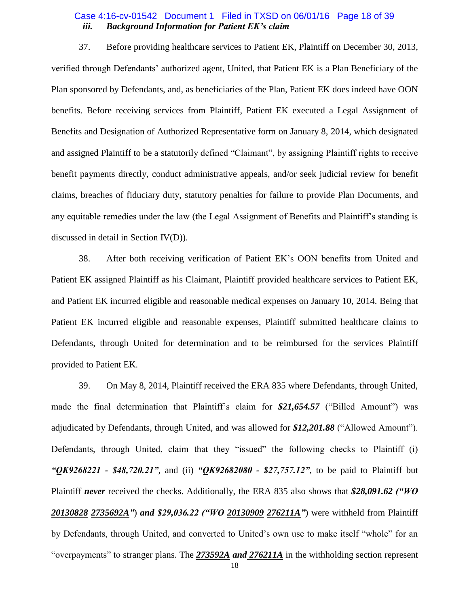## *iii. Background Information for Patient EK's claim* Case 4:16-cv-01542 Document 1 Filed in TXSD on 06/01/16 Page 18 of 39

37. Before providing healthcare services to Patient EK, Plaintiff on December 30, 2013, verified through Defendants' authorized agent, United, that Patient EK is a Plan Beneficiary of the Plan sponsored by Defendants, and, as beneficiaries of the Plan, Patient EK does indeed have OON benefits. Before receiving services from Plaintiff, Patient EK executed a Legal Assignment of Benefits and Designation of Authorized Representative form on January 8, 2014, which designated and assigned Plaintiff to be a statutorily defined "Claimant", by assigning Plaintiff rights to receive benefit payments directly, conduct administrative appeals, and/or seek judicial review for benefit claims, breaches of fiduciary duty, statutory penalties for failure to provide Plan Documents, and any equitable remedies under the law (the Legal Assignment of Benefits and Plaintiff's standing is discussed in detail in Section IV(D)).

38. After both receiving verification of Patient EK's OON benefits from United and Patient EK assigned Plaintiff as his Claimant, Plaintiff provided healthcare services to Patient EK, and Patient EK incurred eligible and reasonable medical expenses on January 10, 2014. Being that Patient EK incurred eligible and reasonable expenses, Plaintiff submitted healthcare claims to Defendants, through United for determination and to be reimbursed for the services Plaintiff provided to Patient EK.

39. On May 8, 2014, Plaintiff received the ERA 835 where Defendants, through United, made the final determination that Plaintiff's claim for \$21,654.57 ("Billed Amount") was adjudicated by Defendants, through United, and was allowed for \$12,201.88 ("Allowed Amount"). Defendants, through United, claim that they "issued" the following checks to Plaintiff (i) *"QK9268221 - \$48,720.21"*, and (ii) *"QK92682080 - \$27,757.12"*, to be paid to Plaintiff but Plaintiff *never* received the checks. Additionally, the ERA 835 also shows that *\$28,091.62 ("WO 20130828 2735692A"*) *and \$29,036.22 ("WO 20130909 276211A"*) were withheld from Plaintiff by Defendants, through United, and converted to United's own use to make itself "whole" for an "overpayments" to stranger plans. The **273592A** and **276211A** in the withholding section represent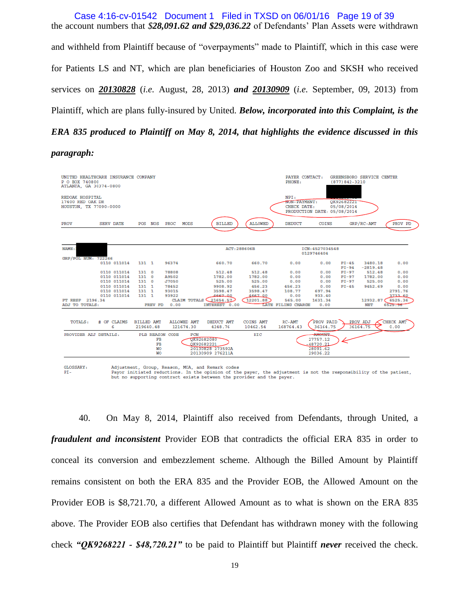the account numbers that *\$28,091.62 and \$29,036.22* of Defendants' Plan Assets were withdrawn and withheld from Plaintiff because of "overpayments" made to Plaintiff, which in this case were for Patients LS and NT, which are plan beneficiaries of Houston Zoo and SKSH who received services on *20130828* (*i.e.* August, 28, 2013) *and 20130909* (*i.e.* September, 09, 2013) from Plaintiff, which are plans fully-insured by United. *Below, incorporated into this Complaint, is the ERA 835 produced to Plaintiff on May 8, 2014, that highlights the evidence discussed in this*  Case 4:16-cv-01542 Document 1 Filed in TXSD on 06/01/16 Page 19 of 39

#### *paragraph:*

| P O BOX 740800<br>ATLANTA, GA 30374-0800                      | UNITED HEALTHCARE INSURANCE COMPANY |                                |                                  |                   |                                 |                                                                                                                                                                       |                              | PAYER CONTACT:<br>PHONE:            |                                                            | $(877)842 - 3210$        | GREENSBORO SERVICE CENTER |                   |
|---------------------------------------------------------------|-------------------------------------|--------------------------------|----------------------------------|-------------------|---------------------------------|-----------------------------------------------------------------------------------------------------------------------------------------------------------------------|------------------------------|-------------------------------------|------------------------------------------------------------|--------------------------|---------------------------|-------------------|
| REDOAK HOSPITAL<br>17400 RED OAK DR<br>HOUSTON, TX 77090-0000 |                                     |                                |                                  |                   |                                 |                                                                                                                                                                       |                              | NPI:<br>NON-PAYMENT:<br>CHECK DATE: | PRODUCTION DATE: 05/08/2014                                | OK92682221<br>05/08/2014 |                           |                   |
| PROV                                                          | <b>SERV DATE</b>                    |                                |                                  | POS NOS PROC MODS |                                 | <b>BILLED</b>                                                                                                                                                         | <b>ALLOWED</b>               | <b>DEDUCT</b>                       | COINS                                                      |                          | GRP/RC-AMT                | PROV PD           |
| NAME:                                                         |                                     |                                |                                  |                   |                                 |                                                                                                                                                                       | ACT: 288606B                 |                                     | ICN: 4527034548                                            |                          |                           |                   |
|                                                               |                                     |                                |                                  |                   |                                 |                                                                                                                                                                       |                              |                                     | 0129746404                                                 |                          |                           |                   |
| GRP/POL NUM: 722266                                           |                                     |                                |                                  |                   |                                 |                                                                                                                                                                       |                              |                                     |                                                            |                          |                           |                   |
|                                                               | 0110 011014                         | 131 1                          |                                  | 96374             |                                 | 660.70                                                                                                                                                                | 660.70                       | 0.00                                | 0.00                                                       | $PI-45$<br>$PI-94$       | 3480.18<br>$-2819.48$     | 0.00              |
|                                                               | 0110 011014                         | 131 0                          |                                  | 78808             |                                 | 512.48                                                                                                                                                                | 512.48                       | 0.00                                | 0.00                                                       | $PI-97$                  | 512.48                    | 0.00              |
|                                                               | 0110 011014                         | 1310                           |                                  | A9502             |                                 | 1782.00                                                                                                                                                               | 1782.00                      | 0.00                                | 0.00                                                       | $PI-97$                  | 1782.00                   | 0.00              |
|                                                               | 0110 011014                         | 1310                           |                                  | <b>J7050</b>      |                                 | 525.00                                                                                                                                                                | 525.00                       | 0.00                                | 0.00                                                       | $PI-97$                  | 525.00                    | 0.00              |
|                                                               | 0110 011014                         | 131 1                          |                                  | 78452             |                                 | 9908.92                                                                                                                                                               | 456.23                       | 456.23                              | 0.00                                                       | $PI-45$                  | 9452.69                   | 0.00              |
|                                                               | 0110 011014                         | 131 1                          |                                  | 93015             |                                 | 3598.47                                                                                                                                                               | 3598.47                      | 108.77                              | 697.94                                                     |                          |                           | 2791.76           |
|                                                               | 0110 011014                         | 131 1                          |                                  | 93922             |                                 | 4667.00                                                                                                                                                               | 4667.00                      | 0.00                                | 933.40                                                     |                          |                           | 3733 60           |
| PT RESP 2196.34                                               |                                     |                                |                                  |                   |                                 | CLAIM TOTALS 21654.57                                                                                                                                                 | 12201.88                     | 565.00                              | 1631.34                                                    |                          | 12932.87(                 | 6525.36           |
| ADJ TO TOTALS:                                                |                                     |                                |                                  | PREV PD 0.00      |                                 | INTEREST 0.00                                                                                                                                                         |                              | LATE FILING CHARGE                  | 0.00                                                       |                          | <b>NET</b>                | 6525.56           |
| TOTALS:                                                       | # OF CLAIMS<br>6                    | <b>BILLED AMT</b><br>219640.48 |                                  |                   | <b>ALLOWED AMT</b><br>121674.30 | <b>DEDUCT AMT</b><br>4248.76                                                                                                                                          | <b>COINS AMT</b><br>10462.54 | $RC-AMT$<br>168764.43               | PROV PAID<br>36164.75                                      |                          | PROV ADJ<br>36164.75      | CHECK AMT<br>0.00 |
| PROVIDER ADJ DETAILS:                                         |                                     |                                | F <sub>B</sub><br>FB<br>WO<br>WΟ | PLB REASON CODE   | FCN                             | OK92682080<br>OK92682221<br>20130828 273592A<br>20130909 276211A                                                                                                      | HIC                          |                                     | AMOUNT.<br>27757.12<br>$-48720.21$<br>28091.62<br>29036.22 |                          |                           |                   |
| GLOSSARY:<br>$PI -$                                           |                                     |                                |                                  |                   |                                 | Adjustment, Group, Reason, MOA, and Remark codes<br>Pavor initiated reductions. In the opinion of the payer, the adjustment is not the responsibility of the patient, |                              |                                     |                                                            |                          |                           |                   |

Payor initiated reductions. In the opinion of the payer, the adjustment is not the responsibility of the patient, but no supporting contract exists between the provider and the payer.

40. On May 8, 2014, Plaintiff also received from Defendants, through United, a *fraudulent and inconsistent* Provider EOB that contradicts the official ERA 835 in order to conceal its conversion and embezzlement scheme. Although the Billed Amount by Plaintiff remains consistent on both the ERA 835 and the Provider EOB, the Allowed Amount on the Provider EOB is \$8,721.70, a different Allowed Amount as to what is shown on the ERA 835 above. The Provider EOB also certifies that Defendant has withdrawn money with the following check *"QK9268221 - \$48,720.21"* to be paid to Plaintiff but Plaintiff *never* received the check.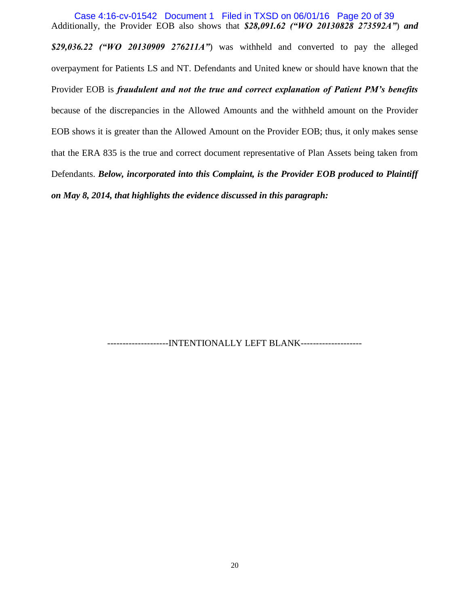Additionally, the Provider EOB also shows that *\$28,091.62 ("WO 20130828 273592A"*) *and \$29,036.22 ("WO 20130909 276211A"*) was withheld and converted to pay the alleged overpayment for Patients LS and NT. Defendants and United knew or should have known that the Provider EOB is *fraudulent and not the true and correct explanation of Patient PM's benefits* because of the discrepancies in the Allowed Amounts and the withheld amount on the Provider EOB shows it is greater than the Allowed Amount on the Provider EOB; thus, it only makes sense that the ERA 835 is the true and correct document representative of Plan Assets being taken from Defendants. *Below, incorporated into this Complaint, is the Provider EOB produced to Plaintiff on May 8, 2014, that highlights the evidence discussed in this paragraph:* Case 4:16-cv-01542 Document 1 Filed in TXSD on 06/01/16 Page 20 of 39

-------------------INTENTIONALLY LEFT BLANK--------------------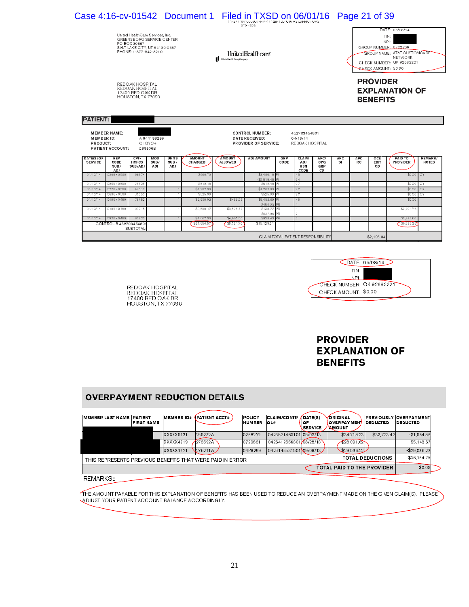|                               |                                                | United HealthCare Services, Inc.<br>GREENSBORO SERVICE CENTER<br>PO BOX 30557<br>SALT LAKE CITY, UT 84130-0557<br>PHONE: 1-877-842-3210 |                                  |                             |                                 |                        | Case 4:16-cv-01542 Document 1 Filed in TXSD on 06/01/16<br>A UnitedHealth Group Company | 11-274 '04 '000007 "PM-14128"120 'U07ASOJPMUTOPS<br>STD - FOB<br>UnitedHealthcare |             |                                             |                          |                  |                   | Page 21 of 39<br><b>CHECK AMOUNT: \$0.00</b> | DATE: 05/08/14<br>TIN:<br>NPI:<br>GROUP NUMBER: 0722266<br><b>GROUP NAME: AT&amp;T CUSTOMCARE</b><br>NFTWORK<br>CHECK NUMBER: QK 92682221 |                               |
|-------------------------------|------------------------------------------------|-----------------------------------------------------------------------------------------------------------------------------------------|----------------------------------|-----------------------------|---------------------------------|------------------------|-----------------------------------------------------------------------------------------|-----------------------------------------------------------------------------------|-------------|---------------------------------------------|--------------------------|------------------|-------------------|----------------------------------------------|-------------------------------------------------------------------------------------------------------------------------------------------|-------------------------------|
| <b>PATIENT:</b>               |                                                | REDOAK HOSPITAL<br>REDOAK HOSPITAL<br>17400 RED OAK DR<br>HOUSTON, TX 77090                                                             |                                  |                             |                                 |                        |                                                                                         |                                                                                   |             |                                             |                          |                  |                   | <b>PROVIDER</b><br><b>BENEFITS</b>           | <b>EXPLANATION OF</b>                                                                                                                     |                               |
| <b>MEMBER ID:</b><br>PRODUCT: | <b>MEMBER NAME:</b><br><b>PATIENT ACCOUNT:</b> |                                                                                                                                         | A 844198299<br>CHOYC+<br>288606B |                             |                                 |                        |                                                                                         | <b>CONTROL NUMBER:</b><br>DATE RECEIVED:<br><b>PROVIDER OF SERVICE:</b>           |             | 452703454801<br>04/18/14<br>REDOAK HOSPITAL |                          |                  |                   |                                              |                                                                                                                                           |                               |
| DATE(S) OF<br><b>SERVICE</b>  | <b>REV</b><br><b>CODE</b><br>SUB/<br>ADJ       | CPT-<br><b>HCPCS</b><br>SUB/ADJ                                                                                                         | MOD<br>SUB/<br>ADJ               | <b>UNITS</b><br>SUB/<br>ADJ | <b>AMOUNT</b><br><b>CHARGED</b> |                        | <b>AMOUNT</b><br><b>ALLOWED</b>                                                         | <b>ADJ AMOUNT</b>                                                                 | GRP<br>CODE | <b>CLAIM</b><br>ADJ<br><b>RSN</b><br>CODE   | APC/<br>OPG<br>GRP<br>CD | <b>APC</b><br>SI | <b>APC</b><br>RC. | OCE<br>EDIT<br>CD                            | <b>PAID TO</b><br><b>PROVIDER</b>                                                                                                         | <b>REMARK</b><br><b>NOTES</b> |
| 01/10/14                      | 0269/0500                                      | 96374                                                                                                                                   |                                  |                             |                                 | \$660.70               |                                                                                         | \$3,480.18<br>$-$2.819.48$                                                        |             | 45<br>94                                    |                          |                  |                   |                                              |                                                                                                                                           | \$0.00 CY                     |
|                               |                                                |                                                                                                                                         |                                  |                             |                                 |                        |                                                                                         |                                                                                   |             |                                             |                          |                  |                   |                                              |                                                                                                                                           |                               |
| 01/10/14<br>01/10/14          | 0269/0500<br>0270/0500                         | 78808<br>A9502                                                                                                                          |                                  |                             |                                 | \$512.48<br>\$1,782.00 |                                                                                         | \$512.48<br>\$1,782.00                                                            |             | 97<br>97                                    |                          |                  |                   |                                              | \$0.00<br>\$0.00                                                                                                                          | <b>I</b> CY<br>CY             |

\$9,452.6

\$456.2

\$108.7<br>\$69 7.9

CLAIM TOTAL PATIENT RESPONSIBILITY

\$15,129.2

|                           | DATE: 05/08/14 |
|---------------------------|----------------|
| TIN:                      |                |
| NPI·                      |                |
| CHECK NUMBER: QK 92682221 |                |
| CHECK AMOUNT: \$0.00      |                |
|                           |                |

\$2,196.34

 $$0.0$ 

\$6,525.3

**PROVIDER EXPLANATION OF BENEFITS** 

# **OVERPAYMENT REDUCTION DETAILS**

REDOAK HOSPITAL<br>REDOAK HOSPITAL<br>17400 RED OAK DR<br>HOUSTON, TX 77090

78452

930

SUBTOTAL

\$9,908.9

\$3,598

\$21,654.

\$456.

\$3,598

\$8,721

0480/0489

CONTROL #45270345480 19 **I** 93922

01/10/14

 $01/10$ 

| <b>MEMBER LAST NAME PATIENT</b> | <b>FIRST NAME</b> | MEMBER ID# | <b>PATIENT ACCT#</b>                                      | POLICY<br><b>NUMBER</b> | <b>CLAIM/CONTR</b><br>IOL# | DATE(S)<br><b>IOF</b><br>SERVICE | <b>ORIGINAL</b><br><b>VOVERPAYMEN</b><br><b>NMOUNT</b> | <b>DEDUCTED</b>         | <b>PREVIOUSLY OVERPAYMENT</b><br><b>DEDUCTED</b> |
|---------------------------------|-------------------|------------|-----------------------------------------------------------|-------------------------|----------------------------|----------------------------------|--------------------------------------------------------|-------------------------|--------------------------------------------------|
|                                 |                   | XXXXX9131  | 259232A                                                   | 0268272                 | 0423871460101 05/02/13     |                                  | \$34.718.33                                            | \$32,733.47             | $-$1.984.86$                                     |
|                                 |                   | XXXXX4719  | 1273592A                                                  | 0729831                 | 0426412556301 08/28/13     |                                  | 28.091.62                                              |                         | $-$5,143.67$                                     |
|                                 |                   | XXXXX1471  | $276211A$ .                                               | 04P9289                 | 0428148531501 09/09/13     |                                  | \$29,036.22                                            |                         | $-$29.036.22$                                    |
|                                 |                   |            | THIS REPRESENTS PREVIOUS BENEFITS THAT WERE PAID IN ERROR |                         |                            |                                  |                                                        | <b>TOTAL DEDUCTIONS</b> | $- $36.164.75$                                   |
|                                 |                   |            |                                                           |                         |                            |                                  | TOTAL PAID TO THE PROVIDER                             |                         | \$0.00                                           |
| REMARKS::                       |                   |            |                                                           |                         |                            |                                  |                                                        |                         |                                                  |

THE AMOUNT PAYABLE FOR THIS EXPLANATION OF BENEFITS HAS BEEN USED TO REDUCE AN OVERPAYMENT MADE ON THE GIVEN CLAIM(S). PLEASE A DJUST YOUR PATIENT ACCOUNT BALANCE ACCORDINGLY.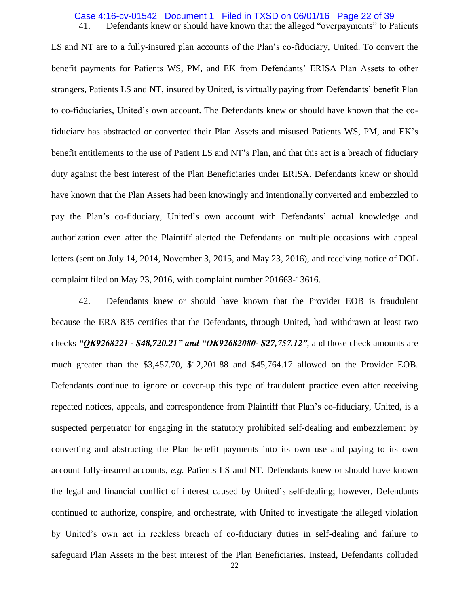### 41. Defendants knew or should have known that the alleged "overpayments" to Patients Case 4:16-cv-01542 Document 1 Filed in TXSD on 06/01/16 Page 22 of 39

LS and NT are to a fully-insured plan accounts of the Plan's co-fiduciary, United. To convert the benefit payments for Patients WS, PM, and EK from Defendants' ERISA Plan Assets to other strangers, Patients LS and NT, insured by United, is virtually paying from Defendants' benefit Plan to co-fiduciaries, United's own account. The Defendants knew or should have known that the cofiduciary has abstracted or converted their Plan Assets and misused Patients WS, PM, and EK's benefit entitlements to the use of Patient LS and NT's Plan, and that this act is a breach of fiduciary duty against the best interest of the Plan Beneficiaries under ERISA. Defendants knew or should have known that the Plan Assets had been knowingly and intentionally converted and embezzled to pay the Plan's co-fiduciary, United's own account with Defendants' actual knowledge and authorization even after the Plaintiff alerted the Defendants on multiple occasions with appeal letters (sent on July 14, 2014, November 3, 2015, and May 23, 2016), and receiving notice of DOL complaint filed on May 23, 2016, with complaint number 201663-13616.

42. Defendants knew or should have known that the Provider EOB is fraudulent because the ERA 835 certifies that the Defendants, through United, had withdrawn at least two checks *"QK9268221 - \$48,720.21" and "OK92682080- \$27,757.12"*, and those check amounts are much greater than the \$3,457.70, \$12,201.88 and \$45,764.17 allowed on the Provider EOB. Defendants continue to ignore or cover-up this type of fraudulent practice even after receiving repeated notices, appeals, and correspondence from Plaintiff that Plan's co-fiduciary, United, is a suspected perpetrator for engaging in the statutory prohibited self-dealing and embezzlement by converting and abstracting the Plan benefit payments into its own use and paying to its own account fully-insured accounts, *e.g.* Patients LS and NT. Defendants knew or should have known the legal and financial conflict of interest caused by United's self-dealing; however, Defendants continued to authorize, conspire, and orchestrate, with United to investigate the alleged violation by United's own act in reckless breach of co-fiduciary duties in self-dealing and failure to safeguard Plan Assets in the best interest of the Plan Beneficiaries. Instead, Defendants colluded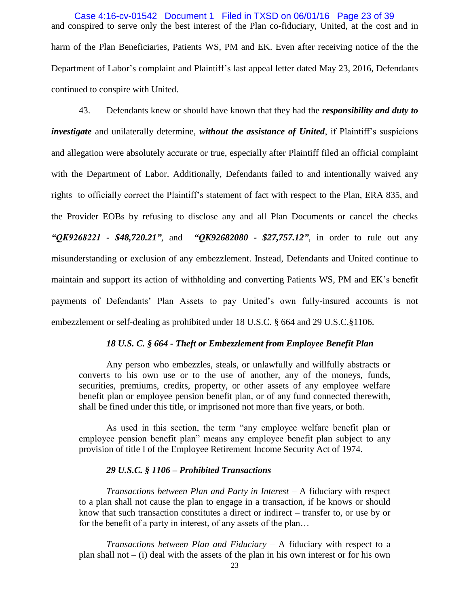and conspired to serve only the best interest of the Plan co-fiduciary, United, at the cost and in harm of the Plan Beneficiaries, Patients WS, PM and EK. Even after receiving notice of the the Department of Labor's complaint and Plaintiff's last appeal letter dated May 23, 2016, Defendants continued to conspire with United. Case 4:16-cv-01542 Document 1 Filed in TXSD on 06/01/16 Page 23 of 39

43. Defendants knew or should have known that they had the *responsibility and duty to investigate* and unilaterally determine, *without the assistance of United*, if Plaintiff's suspicions and allegation were absolutely accurate or true, especially after Plaintiff filed an official complaint with the Department of Labor. Additionally, Defendants failed to and intentionally waived any rights to officially correct the Plaintiff's statement of fact with respect to the Plan, ERA 835, and the Provider EOBs by refusing to disclose any and all Plan Documents or cancel the checks *"QK9268221 - \$48,720.21"*, and *"QK92682080 - \$27,757.12"*, in order to rule out any misunderstanding or exclusion of any embezzlement. Instead, Defendants and United continue to maintain and support its action of withholding and converting Patients WS, PM and EK's benefit payments of Defendants' Plan Assets to pay United's own fully-insured accounts is not embezzlement or self-dealing as prohibited under 18 U.S.C. § 664 and 29 U.S.C.§1106.

#### *18 U.S. C. § 664 - Theft or Embezzlement from Employee Benefit Plan*

Any person who embezzles, steals, or unlawfully and willfully abstracts or converts to his own use or to the use of another, any of the moneys, funds, securities, premiums, credits, property, or other assets of any employee welfare benefit plan or employee pension benefit plan, or of any fund connected therewith, shall be fined under this title, or imprisoned not more than five years, or both.

As used in this section, the term "any employee welfare benefit plan or employee pension benefit plan" means any employee benefit plan subject to any provision of title I of the Employee Retirement Income Security Act of 1974.

#### *29 U.S.C. § 1106 – Prohibited Transactions*

*Transactions between Plan and Party in Interest –* A fiduciary with respect to a plan shall not cause the plan to engage in a transaction, if he knows or should know that such transaction constitutes a direct or indirect – transfer to, or use by or for the benefit of a party in interest, of any assets of the plan…

*Transactions between Plan and Fiduciary* – A fiduciary with respect to a plan shall not  $-$  (i) deal with the assets of the plan in his own interest or for his own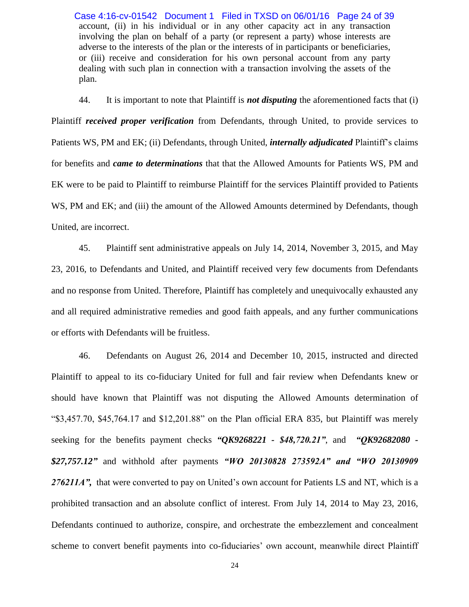account, (ii) in his individual or in any other capacity act in any transaction involving the plan on behalf of a party (or represent a party) whose interests are adverse to the interests of the plan or the interests of in participants or beneficiaries, or (iii) receive and consideration for his own personal account from any party dealing with such plan in connection with a transaction involving the assets of the plan. Case 4:16-cv-01542 Document 1 Filed in TXSD on 06/01/16 Page 24 of 39

44. It is important to note that Plaintiff is *not disputing* the aforementioned facts that (i) Plaintiff *received proper verification* from Defendants, through United, to provide services to Patients WS, PM and EK; (ii) Defendants, through United, *internally adjudicated* Plaintiff's claims for benefits and *came to determinations* that that the Allowed Amounts for Patients WS, PM and EK were to be paid to Plaintiff to reimburse Plaintiff for the services Plaintiff provided to Patients WS, PM and EK; and (iii) the amount of the Allowed Amounts determined by Defendants, though United, are incorrect.

45. Plaintiff sent administrative appeals on July 14, 2014, November 3, 2015, and May 23, 2016, to Defendants and United, and Plaintiff received very few documents from Defendants and no response from United. Therefore, Plaintiff has completely and unequivocally exhausted any and all required administrative remedies and good faith appeals, and any further communications or efforts with Defendants will be fruitless.

46. Defendants on August 26, 2014 and December 10, 2015, instructed and directed Plaintiff to appeal to its co-fiduciary United for full and fair review when Defendants knew or should have known that Plaintiff was not disputing the Allowed Amounts determination of " $$3,457.70, $45,764.17$  and  $$12,201.88$ " on the Plan official ERA 835, but Plaintiff was merely seeking for the benefits payment checks *"QK9268221 - \$48,720.21"*, and *"QK92682080 - \$27,757.12"* and withhold after payments *"WO 20130828 273592A" and "WO 20130909*  276211A", that were converted to pay on United's own account for Patients LS and NT, which is a prohibited transaction and an absolute conflict of interest. From July 14, 2014 to May 23, 2016, Defendants continued to authorize, conspire, and orchestrate the embezzlement and concealment scheme to convert benefit payments into co-fiduciaries' own account, meanwhile direct Plaintiff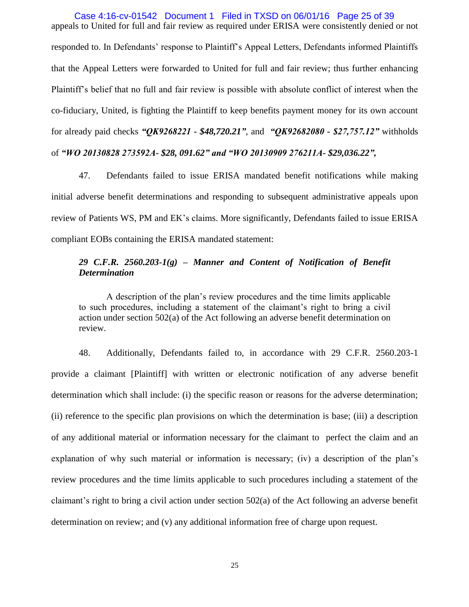appeals to United for full and fair review as required under ERISA were consistently denied or not responded to. In Defendants' response to Plaintiff's Appeal Letters, Defendants informed Plaintiffs that the Appeal Letters were forwarded to United for full and fair review; thus further enhancing Plaintiff's belief that no full and fair review is possible with absolute conflict of interest when the co-fiduciary, United, is fighting the Plaintiff to keep benefits payment money for its own account for already paid checks *"QK9268221 - \$48,720.21"*, and *"QK92682080 - \$27,757.12"* withholds of *"WO 20130828 273592A- \$28, 091.62" and "WO 20130909 276211A- \$29,036.22",*  Case 4:16-cv-01542 Document 1 Filed in TXSD on 06/01/16 Page 25 of 39

47. Defendants failed to issue ERISA mandated benefit notifications while making initial adverse benefit determinations and responding to subsequent administrative appeals upon review of Patients WS, PM and EK's claims. More significantly, Defendants failed to issue ERISA compliant EOBs containing the ERISA mandated statement:

# *29 C.F.R. 2560.203-1(g) – Manner and Content of Notification of Benefit Determination*

A description of the plan's review procedures and the time limits applicable to such procedures, including a statement of the claimant's right to bring a civil action under section 502(a) of the Act following an adverse benefit determination on review.

48. Additionally, Defendants failed to, in accordance with 29 C.F.R. 2560.203-1 provide a claimant [Plaintiff] with written or electronic notification of any adverse benefit determination which shall include: (i) the specific reason or reasons for the adverse determination; (ii) reference to the specific plan provisions on which the determination is base; (iii) a description of any additional material or information necessary for the claimant to perfect the claim and an explanation of why such material or information is necessary; (iv) a description of the plan's review procedures and the time limits applicable to such procedures including a statement of the claimant's right to bring a civil action under section 502(a) of the Act following an adverse benefit determination on review; and (v) any additional information free of charge upon request.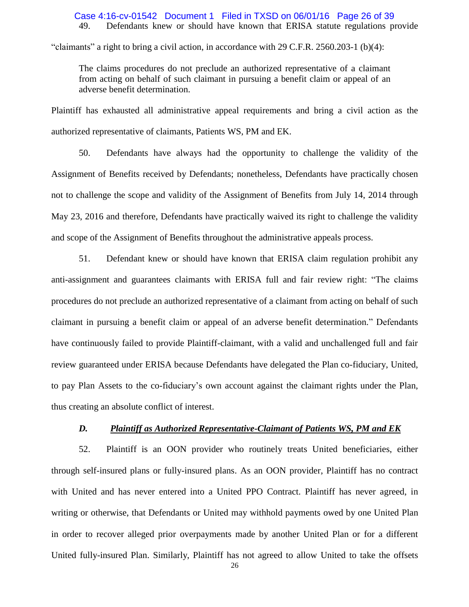#### 49. Defendants knew or should have known that ERISA statute regulations provide Case 4:16-cv-01542 Document 1 Filed in TXSD on 06/01/16 Page 26 of 39

"claimants" a right to bring a civil action, in accordance with 29 C.F.R. 2560.203-1 (b)(4):

The claims procedures do not preclude an authorized representative of a claimant from acting on behalf of such claimant in pursuing a benefit claim or appeal of an adverse benefit determination.

Plaintiff has exhausted all administrative appeal requirements and bring a civil action as the authorized representative of claimants, Patients WS, PM and EK.

50. Defendants have always had the opportunity to challenge the validity of the Assignment of Benefits received by Defendants; nonetheless, Defendants have practically chosen not to challenge the scope and validity of the Assignment of Benefits from July 14, 2014 through May 23, 2016 and therefore, Defendants have practically waived its right to challenge the validity and scope of the Assignment of Benefits throughout the administrative appeals process.

51. Defendant knew or should have known that ERISA claim regulation prohibit any anti-assignment and guarantees claimants with ERISA full and fair review right: "The claims procedures do not preclude an authorized representative of a claimant from acting on behalf of such claimant in pursuing a benefit claim or appeal of an adverse benefit determination." Defendants have continuously failed to provide Plaintiff-claimant, with a valid and unchallenged full and fair review guaranteed under ERISA because Defendants have delegated the Plan co-fiduciary, United, to pay Plan Assets to the co-fiduciary's own account against the claimant rights under the Plan, thus creating an absolute conflict of interest.

#### *D. Plaintiff as Authorized Representative-Claimant of Patients WS, PM and EK*

52. Plaintiff is an OON provider who routinely treats United beneficiaries, either through self-insured plans or fully-insured plans. As an OON provider, Plaintiff has no contract with United and has never entered into a United PPO Contract. Plaintiff has never agreed, in writing or otherwise, that Defendants or United may withhold payments owed by one United Plan in order to recover alleged prior overpayments made by another United Plan or for a different United fully-insured Plan. Similarly, Plaintiff has not agreed to allow United to take the offsets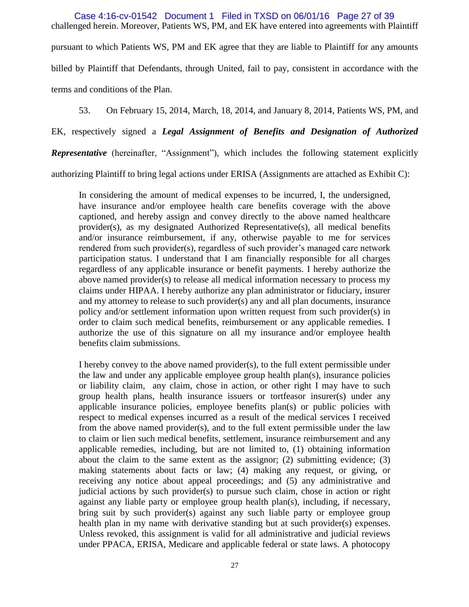challenged herein. Moreover, Patients WS, PM, and EK have entered into agreements with Plaintiff pursuant to which Patients WS, PM and EK agree that they are liable to Plaintiff for any amounts billed by Plaintiff that Defendants, through United, fail to pay, consistent in accordance with the terms and conditions of the Plan. Case 4:16-cv-01542 Document 1 Filed in TXSD on 06/01/16 Page 27 of 39

53. On February 15, 2014, March, 18, 2014, and January 8, 2014, Patients WS, PM, and

EK, respectively signed a *Legal Assignment of Benefits and Designation of Authorized*

*Representative* (hereinafter, "Assignment"), which includes the following statement explicitly

authorizing Plaintiff to bring legal actions under ERISA (Assignments are attached as Exhibit C):

In considering the amount of medical expenses to be incurred, I, the undersigned, have insurance and/or employee health care benefits coverage with the above captioned, and hereby assign and convey directly to the above named healthcare provider(s), as my designated Authorized Representative(s), all medical benefits and/or insurance reimbursement, if any, otherwise payable to me for services rendered from such provider(s), regardless of such provider's managed care network participation status. I understand that I am financially responsible for all charges regardless of any applicable insurance or benefit payments. I hereby authorize the above named provider(s) to release all medical information necessary to process my claims under HIPAA. I hereby authorize any plan administrator or fiduciary, insurer and my attorney to release to such provider(s) any and all plan documents, insurance policy and/or settlement information upon written request from such provider(s) in order to claim such medical benefits, reimbursement or any applicable remedies. I authorize the use of this signature on all my insurance and/or employee health benefits claim submissions.

I hereby convey to the above named provider(s), to the full extent permissible under the law and under any applicable employee group health plan(s), insurance policies or liability claim, any claim, chose in action, or other right I may have to such group health plans, health insurance issuers or tortfeasor insurer(s) under any applicable insurance policies, employee benefits plan(s) or public policies with respect to medical expenses incurred as a result of the medical services I received from the above named provider(s), and to the full extent permissible under the law to claim or lien such medical benefits, settlement, insurance reimbursement and any applicable remedies, including, but are not limited to, (1) obtaining information about the claim to the same extent as the assignor; (2) submitting evidence; (3) making statements about facts or law; (4) making any request, or giving, or receiving any notice about appeal proceedings; and (5) any administrative and judicial actions by such provider(s) to pursue such claim, chose in action or right against any liable party or employee group health plan(s), including, if necessary, bring suit by such provider(s) against any such liable party or employee group health plan in my name with derivative standing but at such provider(s) expenses. Unless revoked, this assignment is valid for all administrative and judicial reviews under PPACA, ERISA, Medicare and applicable federal or state laws. A photocopy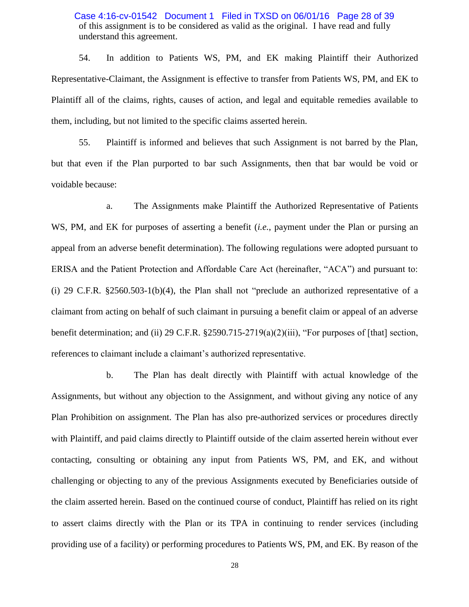of this assignment is to be considered as valid as the original. I have read and fully understand this agreement. Case 4:16-cv-01542 Document 1 Filed in TXSD on 06/01/16 Page 28 of 39

54. In addition to Patients WS, PM, and EK making Plaintiff their Authorized Representative-Claimant, the Assignment is effective to transfer from Patients WS, PM, and EK to Plaintiff all of the claims, rights, causes of action, and legal and equitable remedies available to them, including, but not limited to the specific claims asserted herein.

55. Plaintiff is informed and believes that such Assignment is not barred by the Plan, but that even if the Plan purported to bar such Assignments, then that bar would be void or voidable because:

a. The Assignments make Plaintiff the Authorized Representative of Patients WS, PM, and EK for purposes of asserting a benefit (*i.e.*, payment under the Plan or pursing an appeal from an adverse benefit determination). The following regulations were adopted pursuant to ERISA and the Patient Protection and Affordable Care Act (hereinafter, "ACA") and pursuant to: (i) 29 C.F.R.  $$2560.503-1(b)(4)$ , the Plan shall not "preclude an authorized representative of a claimant from acting on behalf of such claimant in pursuing a benefit claim or appeal of an adverse benefit determination; and (ii) 29 C.F.R.  $\S 2590.715-2719(a)(2)(iii)$ , "For purposes of [that] section, references to claimant include a claimant's authorized representative.

b. The Plan has dealt directly with Plaintiff with actual knowledge of the Assignments, but without any objection to the Assignment, and without giving any notice of any Plan Prohibition on assignment. The Plan has also pre-authorized services or procedures directly with Plaintiff, and paid claims directly to Plaintiff outside of the claim asserted herein without ever contacting, consulting or obtaining any input from Patients WS, PM, and EK, and without challenging or objecting to any of the previous Assignments executed by Beneficiaries outside of the claim asserted herein. Based on the continued course of conduct, Plaintiff has relied on its right to assert claims directly with the Plan or its TPA in continuing to render services (including providing use of a facility) or performing procedures to Patients WS, PM, and EK. By reason of the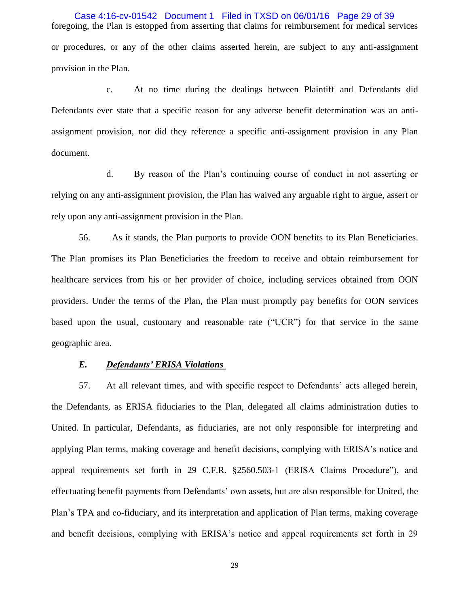foregoing, the Plan is estopped from asserting that claims for reimbursement for medical services or procedures, or any of the other claims asserted herein, are subject to any anti-assignment provision in the Plan. Case 4:16-cv-01542 Document 1 Filed in TXSD on 06/01/16 Page 29 of 39

c. At no time during the dealings between Plaintiff and Defendants did Defendants ever state that a specific reason for any adverse benefit determination was an antiassignment provision, nor did they reference a specific anti-assignment provision in any Plan document.

d. By reason of the Plan's continuing course of conduct in not asserting or relying on any anti-assignment provision, the Plan has waived any arguable right to argue, assert or rely upon any anti-assignment provision in the Plan.

56. As it stands, the Plan purports to provide OON benefits to its Plan Beneficiaries. The Plan promises its Plan Beneficiaries the freedom to receive and obtain reimbursement for healthcare services from his or her provider of choice, including services obtained from OON providers. Under the terms of the Plan, the Plan must promptly pay benefits for OON services based upon the usual, customary and reasonable rate  $("UCR")$  for that service in the same geographic area.

### *E. Defendants' ERISA Violations*

57. At all relevant times, and with specific respect to Defendants' acts alleged herein, the Defendants, as ERISA fiduciaries to the Plan, delegated all claims administration duties to United. In particular, Defendants, as fiduciaries, are not only responsible for interpreting and applying Plan terms, making coverage and benefit decisions, complying with ERISA's notice and appeal requirements set forth in 29 C.F.R. §2560.503-1 (ERISA Claims Procedure"), and effectuating benefit payments from Defendants' own assets, but are also responsible for United, the Plan's TPA and co-fiduciary, and its interpretation and application of Plan terms, making coverage and benefit decisions, complying with ERISA's notice and appeal requirements set forth in 29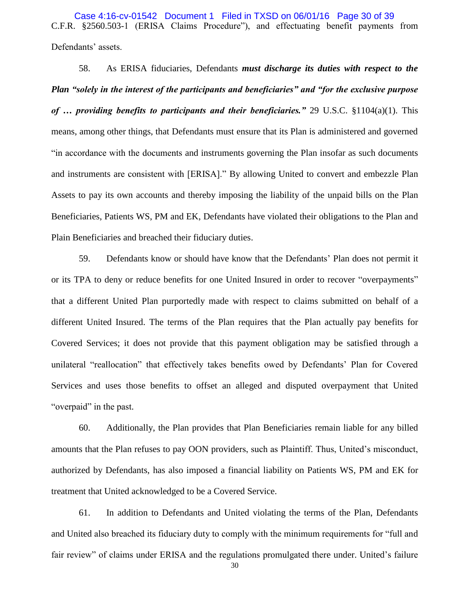C.F.R. §2560.503-1 (ERISA Claims Procedure"), and effectuating benefit payments from Defendants' assets. Case 4:16-cv-01542 Document 1 Filed in TXSD on 06/01/16 Page 30 of 39

58. As ERISA fiduciaries, Defendants *must discharge its duties with respect to the Plan "solely in the interest of the participants and beneficiaries" and "for the exclusive purpose of … providing benefits to participants and their beneficiaries."* 29 U.S.C. §1104(a)(1). This means, among other things, that Defendants must ensure that its Plan is administered and governed ―in accordance with the documents and instruments governing the Plan insofar as such documents and instruments are consistent with [ERISA]." By allowing United to convert and embezzle Plan Assets to pay its own accounts and thereby imposing the liability of the unpaid bills on the Plan Beneficiaries, Patients WS, PM and EK, Defendants have violated their obligations to the Plan and Plain Beneficiaries and breached their fiduciary duties.

59. Defendants know or should have know that the Defendants' Plan does not permit it or its TPA to deny or reduce benefits for one United Insured in order to recover "overpayments" that a different United Plan purportedly made with respect to claims submitted on behalf of a different United Insured. The terms of the Plan requires that the Plan actually pay benefits for Covered Services; it does not provide that this payment obligation may be satisfied through a unilateral "reallocation" that effectively takes benefits owed by Defendants' Plan for Covered Services and uses those benefits to offset an alleged and disputed overpayment that United "overpaid" in the past.

60. Additionally, the Plan provides that Plan Beneficiaries remain liable for any billed amounts that the Plan refuses to pay OON providers, such as Plaintiff. Thus, United's misconduct, authorized by Defendants, has also imposed a financial liability on Patients WS, PM and EK for treatment that United acknowledged to be a Covered Service.

61. In addition to Defendants and United violating the terms of the Plan, Defendants and United also breached its fiduciary duty to comply with the minimum requirements for "full and fair review" of claims under ERISA and the regulations promulgated there under. United's failure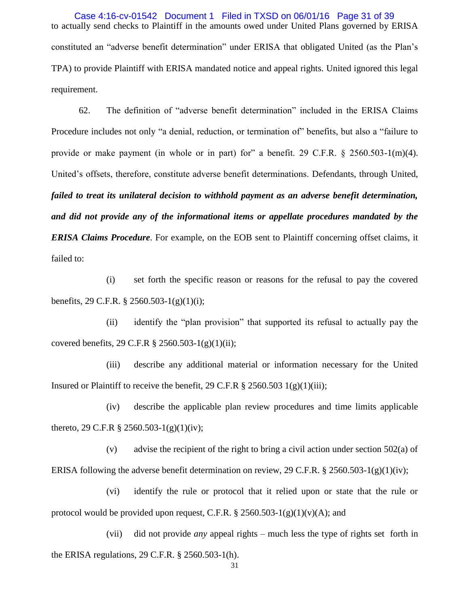to actually send checks to Plaintiff in the amounts owed under United Plans governed by ERISA constituted an "adverse benefit determination" under ERISA that obligated United (as the Plan's TPA) to provide Plaintiff with ERISA mandated notice and appeal rights. United ignored this legal requirement. Case 4:16-cv-01542 Document 1 Filed in TXSD on 06/01/16 Page 31 of 39

62. The definition of "adverse benefit determination" included in the ERISA Claims Procedure includes not only "a denial, reduction, or termination of" benefits, but also a "failure to provide or make payment (in whole or in part) for" a benefit. 29 C.F.R.  $\S$  2560.503-1(m)(4). United's offsets, therefore, constitute adverse benefit determinations. Defendants, through United, *failed to treat its unilateral decision to withhold payment as an adverse benefit determination, and did not provide any of the informational items or appellate procedures mandated by the ERISA Claims Procedure*. For example, on the EOB sent to Plaintiff concerning offset claims, it failed to:

(i) set forth the specific reason or reasons for the refusal to pay the covered benefits, 29 C.F.R. § 2560.503-1(g)(1)(i);

(ii) identify the "plan provision" that supported its refusal to actually pay the covered benefits, 29 C.F.R  $\S 2560.503 - 1(g)(1)(ii);$ 

(iii) describe any additional material or information necessary for the United Insured or Plaintiff to receive the benefit, 29 C.F.R  $\S 2560.503 1(g)(1)(iii)$ ;

(iv) describe the applicable plan review procedures and time limits applicable thereto, 29 C.F.R  $\S 2560.503-1(g)(1)(iv)$ ;

(v) advise the recipient of the right to bring a civil action under section 502(a) of ERISA following the adverse benefit determination on review, 29 C.F.R. § 2560.503-1(g)(1)(iv);

(vi) identify the rule or protocol that it relied upon or state that the rule or protocol would be provided upon request, C.F.R.  $\S 2560.503-1(g)(1)(v)(A)$ ; and

(vii) did not provide *any* appeal rights – much less the type of rights set forth in the ERISA regulations, 29 C.F.R. § 2560.503-1(h).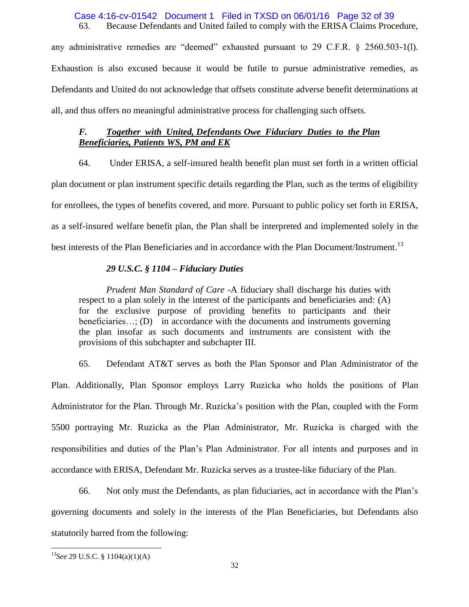#### 63. Because Defendants and United failed to comply with the ERISA Claims Procedure, Case 4:16-cv-01542 Document 1 Filed in TXSD on 06/01/16 Page 32 of 39

any administrative remedies are "deemed" exhausted pursuant to 29 C.F.R.  $\S$  2560.503-1(1). Exhaustion is also excused because it would be futile to pursue administrative remedies, as Defendants and United do not acknowledge that offsets constitute adverse benefit determinations at all, and thus offers no meaningful administrative process for challenging such offsets.

## *F. Together with United, Defendants Owe Fiduciary Duties to the Plan Beneficiaries, Patients WS, PM and EK*

64. Under ERISA, a self-insured health benefit plan must set forth in a written official plan document or plan instrument specific details regarding the Plan, such as the terms of eligibility for enrollees, the types of benefits covered, and more. Pursuant to public policy set forth in ERISA, as a self-insured welfare benefit plan, the Plan shall be interpreted and implemented solely in the best interests of the Plan Beneficiaries and in accordance with the Plan Document/Instrument.<sup>13</sup>

### *29 U.S.C. § 1104 – Fiduciary Duties*

*Prudent Man Standard of Care -*A fiduciary shall discharge his duties with respect to a plan solely in the interest of the participants and beneficiaries and: (A) for the exclusive purpose of providing benefits to participants and their beneficiaries...; (D) in accordance with the documents and instruments governing the plan insofar as such documents and instruments are consistent with the provisions of this subchapter and subchapter III.

65. Defendant AT&T serves as both the Plan Sponsor and Plan Administrator of the Plan. Additionally, Plan Sponsor employs Larry Ruzicka who holds the positions of Plan Administrator for the Plan. Through Mr. Ruzicka's position with the Plan, coupled with the Form 5500 portraying Mr. Ruzicka as the Plan Administrator, Mr. Ruzicka is charged with the responsibilities and duties of the Plan's Plan Administrator. For all intents and purposes and in accordance with ERISA, Defendant Mr. Ruzicka serves as a trustee-like fiduciary of the Plan.

66. Not only must the Defendants, as plan fiduciaries, act in accordance with the Plan's governing documents and solely in the interests of the Plan Beneficiaries, but Defendants also statutorily barred from the following:

 $\overline{a}$ 

<sup>13</sup>*See* 29 U.S.C. § 1104(a)(1)(A)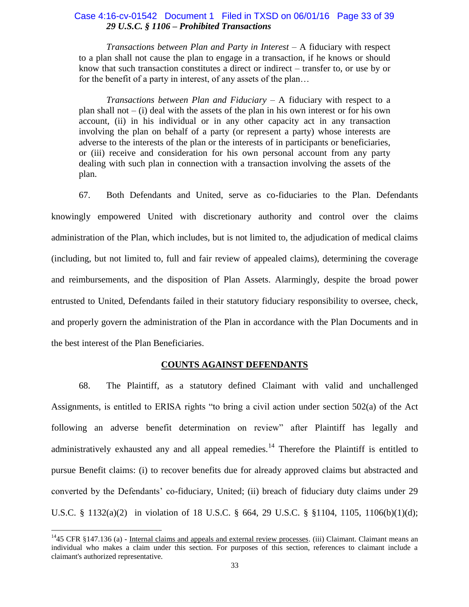### *29 U.S.C. § 1106 – Prohibited Transactions*  Case 4:16-cv-01542 Document 1 Filed in TXSD on 06/01/16 Page 33 of 39

*Transactions between Plan and Party in Interest –* A fiduciary with respect to a plan shall not cause the plan to engage in a transaction, if he knows or should know that such transaction constitutes a direct or indirect – transfer to, or use by or for the benefit of a party in interest, of any assets of the plan…

*Transactions between Plan and Fiduciary* – A fiduciary with respect to a plan shall not  $-$  (i) deal with the assets of the plan in his own interest or for his own account, (ii) in his individual or in any other capacity act in any transaction involving the plan on behalf of a party (or represent a party) whose interests are adverse to the interests of the plan or the interests of in participants or beneficiaries, or (iii) receive and consideration for his own personal account from any party dealing with such plan in connection with a transaction involving the assets of the plan.

67. Both Defendants and United, serve as co-fiduciaries to the Plan. Defendants knowingly empowered United with discretionary authority and control over the claims administration of the Plan, which includes, but is not limited to, the adjudication of medical claims (including, but not limited to, full and fair review of appealed claims), determining the coverage and reimbursements, and the disposition of Plan Assets. Alarmingly, despite the broad power entrusted to United, Defendants failed in their statutory fiduciary responsibility to oversee, check, and properly govern the administration of the Plan in accordance with the Plan Documents and in the best interest of the Plan Beneficiaries.

### **COUNTS AGAINST DEFENDANTS**

68. The Plaintiff, as a statutory defined Claimant with valid and unchallenged Assignments, is entitled to ERISA rights "to bring a civil action under section  $502(a)$  of the Act following an adverse benefit determination on review" after Plaintiff has legally and administratively exhausted any and all appeal remedies.<sup>14</sup> Therefore the Plaintiff is entitled to pursue Benefit claims: (i) to recover benefits due for already approved claims but abstracted and converted by the Defendants' co-fiduciary, United; (ii) breach of fiduciary duty claims under 29 U.S.C. § 1132(a)(2) in violation of 18 U.S.C. § 664, 29 U.S.C. § §1104, 1105, 1106(b)(1)(d);

 $\ddot{\phantom{a}}$ 

 $14$ 45 CFR §147.136 (a) - Internal claims and appeals and external review processes. (iii) Claimant. Claimant means an individual who makes a claim under this section. For purposes of this section, references to claimant include a claimant's authorized representative.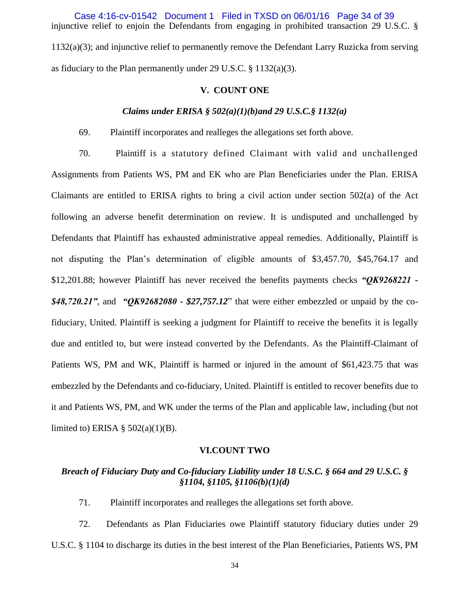injunctive relief to enjoin the Defendants from engaging in prohibited transaction 29 U.S.C. § 1132(a)(3); and injunctive relief to permanently remove the Defendant Larry Ruzicka from serving as fiduciary to the Plan permanently under 29 U.S.C. § 1132(a)(3). Case 4:16-cv-01542 Document 1 Filed in TXSD on 06/01/16 Page 34 of 39

### **V. COUNT ONE**

#### *Claims under ERISA § 502(a)(1)(b)and 29 U.S.C.§ 1132(a)*

69. Plaintiff incorporates and realleges the allegations set forth above.

70. Plaintiff is a statutory defined Claimant with valid and unchallenged Assignments from Patients WS, PM and EK who are Plan Beneficiaries under the Plan. ERISA Claimants are entitled to ERISA rights to bring a civil action under section 502(a) of the Act following an adverse benefit determination on review. It is undisputed and unchallenged by Defendants that Plaintiff has exhausted administrative appeal remedies. Additionally, Plaintiff is not disputing the Plan's determination of eligible amounts of \$3,457.70, \$45,764.17 and \$12,201.88; however Plaintiff has never received the benefits payments checks *"QK9268221 - \$48,720.21"*, and *"QK92682080 - \$27,757.12*‖ that were either embezzled or unpaid by the cofiduciary, United. Plaintiff is seeking a judgment for Plaintiff to receive the benefits it is legally due and entitled to, but were instead converted by the Defendants. As the Plaintiff-Claimant of Patients WS, PM and WK, Plaintiff is harmed or injured in the amount of \$61,423.75 that was embezzled by the Defendants and co-fiduciary, United. Plaintiff is entitled to recover benefits due to it and Patients WS, PM, and WK under the terms of the Plan and applicable law, including (but not limited to) ERISA  $\S$  502(a)(1)(B).

#### **VI.COUNT TWO**

# *Breach of Fiduciary Duty and Co-fiduciary Liability under 18 U.S.C. § 664 and 29 U.S.C. § §1104, §1105, §1106(b)(1)(d)*

71. Plaintiff incorporates and realleges the allegations set forth above.

72. Defendants as Plan Fiduciaries owe Plaintiff statutory fiduciary duties under 29 U.S.C. § 1104 to discharge its duties in the best interest of the Plan Beneficiaries, Patients WS, PM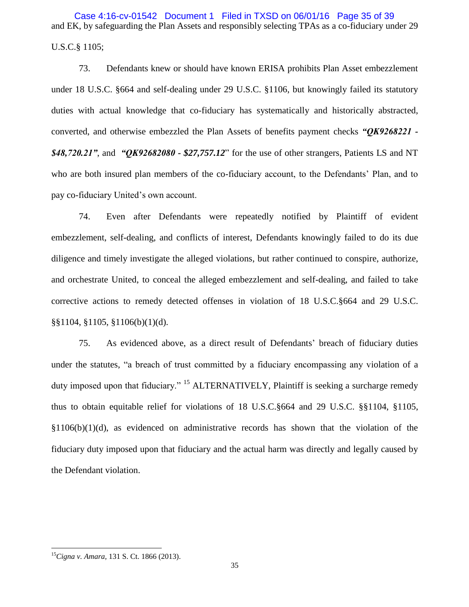and EK, by safeguarding the Plan Assets and responsibly selecting TPAs as a co-fiduciary under 29 U.S.C.§ 1105; Case 4:16-cv-01542 Document 1 Filed in TXSD on 06/01/16 Page 35 of 39

73. Defendants knew or should have known ERISA prohibits Plan Asset embezzlement under 18 U.S.C. §664 and self-dealing under 29 U.S.C. §1106, but knowingly failed its statutory duties with actual knowledge that co-fiduciary has systematically and historically abstracted, converted, and otherwise embezzled the Plan Assets of benefits payment checks *"QK9268221 - \$48,720.21"*, and *"QK92682080 - \$27,757.12*‖ for the use of other strangers, Patients LS and NT who are both insured plan members of the co-fiduciary account, to the Defendants' Plan, and to pay co-fiduciary United's own account.

74. Even after Defendants were repeatedly notified by Plaintiff of evident embezzlement, self-dealing, and conflicts of interest, Defendants knowingly failed to do its due diligence and timely investigate the alleged violations, but rather continued to conspire, authorize, and orchestrate United, to conceal the alleged embezzlement and self-dealing, and failed to take corrective actions to remedy detected offenses in violation of 18 U.S.C.§664 and 29 U.S.C. §§1104, §1105, §1106(b)(1)(d).

75. As evidenced above, as a direct result of Defendants' breach of fiduciary duties under the statutes, "a breach of trust committed by a fiduciary encompassing any violation of a duty imposed upon that fiduciary." <sup>15</sup> ALTERNATIVELY, Plaintiff is seeking a surcharge remedy thus to obtain equitable relief for violations of 18 U.S.C.§664 and 29 U.S.C. §§1104, §1105,  $$1106(b)(1)(d)$ , as evidenced on administrative records has shown that the violation of the fiduciary duty imposed upon that fiduciary and the actual harm was directly and legally caused by the Defendant violation.

 $\overline{a}$ 

<sup>15</sup>*Cigna v. Amara,* 131 S. Ct. 1866 (2013).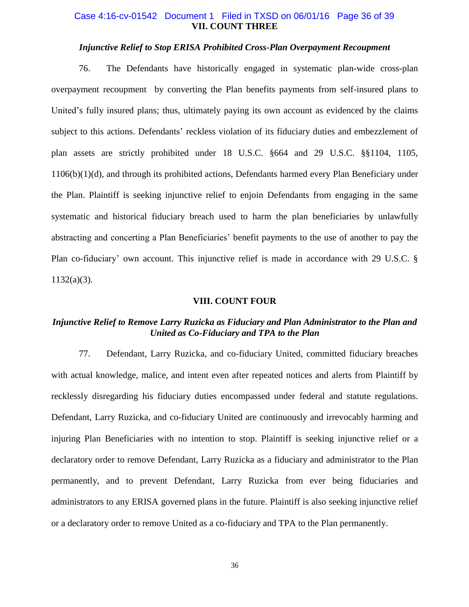### **VII. COUNT THREE** Case 4:16-cv-01542 Document 1 Filed in TXSD on 06/01/16 Page 36 of 39

### *Injunctive Relief to Stop ERISA Prohibited Cross-Plan Overpayment Recoupment*

76. The Defendants have historically engaged in systematic plan-wide cross-plan overpayment recoupment by converting the Plan benefits payments from self-insured plans to United's fully insured plans; thus, ultimately paying its own account as evidenced by the claims subject to this actions. Defendants' reckless violation of its fiduciary duties and embezzlement of plan assets are strictly prohibited under 18 U.S.C. §664 and 29 U.S.C. §§1104, 1105, 1106(b)(1)(d), and through its prohibited actions, Defendants harmed every Plan Beneficiary under the Plan. Plaintiff is seeking injunctive relief to enjoin Defendants from engaging in the same systematic and historical fiduciary breach used to harm the plan beneficiaries by unlawfully abstracting and concerting a Plan Beneficiaries' benefit payments to the use of another to pay the Plan co-fiduciary' own account. This injunctive relief is made in accordance with 29 U.S.C. §  $1132(a)(3)$ .

#### **VIII. COUNT FOUR**

## *Injunctive Relief to Remove Larry Ruzicka as Fiduciary and Plan Administrator to the Plan and United as Co-Fiduciary and TPA to the Plan*

77. Defendant, Larry Ruzicka, and co-fiduciary United, committed fiduciary breaches with actual knowledge, malice, and intent even after repeated notices and alerts from Plaintiff by recklessly disregarding his fiduciary duties encompassed under federal and statute regulations. Defendant, Larry Ruzicka, and co-fiduciary United are continuously and irrevocably harming and injuring Plan Beneficiaries with no intention to stop. Plaintiff is seeking injunctive relief or a declaratory order to remove Defendant, Larry Ruzicka as a fiduciary and administrator to the Plan permanently, and to prevent Defendant, Larry Ruzicka from ever being fiduciaries and administrators to any ERISA governed plans in the future. Plaintiff is also seeking injunctive relief or a declaratory order to remove United as a co-fiduciary and TPA to the Plan permanently.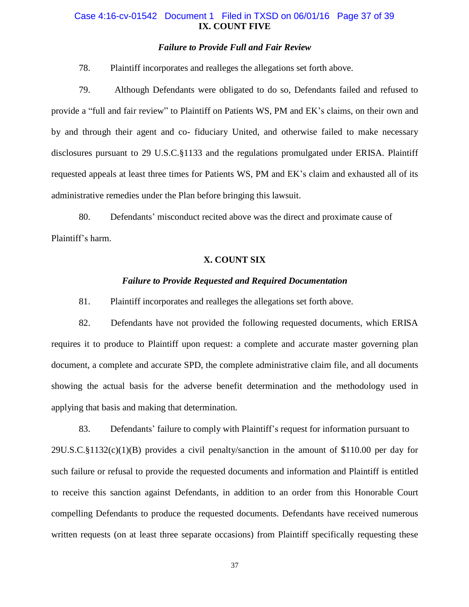## **IX. COUNT FIVE** Case 4:16-cv-01542 Document 1 Filed in TXSD on 06/01/16 Page 37 of 39

## *Failure to Provide Full and Fair Review*

78. Plaintiff incorporates and realleges the allegations set forth above.

79. Although Defendants were obligated to do so, Defendants failed and refused to provide a "full and fair review" to Plaintiff on Patients WS, PM and EK's claims, on their own and by and through their agent and co- fiduciary United, and otherwise failed to make necessary disclosures pursuant to 29 U.S.C.§1133 and the regulations promulgated under ERISA. Plaintiff requested appeals at least three times for Patients WS, PM and EK's claim and exhausted all of its administrative remedies under the Plan before bringing this lawsuit.

80. Defendants' misconduct recited above was the direct and proximate cause of Plaintiff's harm.

## **X. COUNT SIX**

### *Failure to Provide Requested and Required Documentation*

81. Plaintiff incorporates and realleges the allegations set forth above.

82. Defendants have not provided the following requested documents, which ERISA requires it to produce to Plaintiff upon request: a complete and accurate master governing plan document, a complete and accurate SPD, the complete administrative claim file, and all documents showing the actual basis for the adverse benefit determination and the methodology used in applying that basis and making that determination.

83. Defendants' failure to comply with Plaintiff's request for information pursuant to 29U.S.C.§1132(c)(1)(B) provides a civil penalty/sanction in the amount of \$110.00 per day for such failure or refusal to provide the requested documents and information and Plaintiff is entitled to receive this sanction against Defendants, in addition to an order from this Honorable Court compelling Defendants to produce the requested documents. Defendants have received numerous written requests (on at least three separate occasions) from Plaintiff specifically requesting these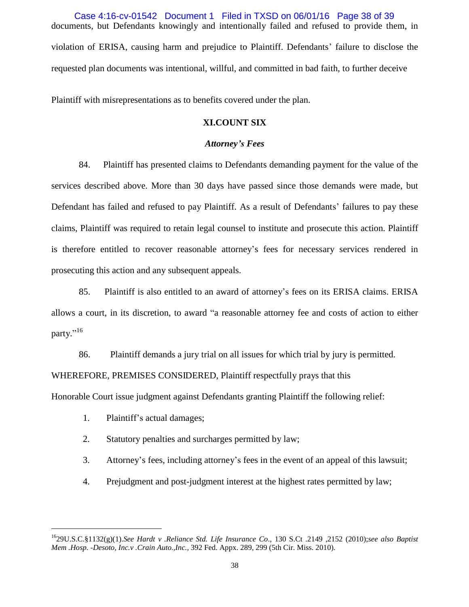documents, but Defendants knowingly and intentionally failed and refused to provide them, in violation of ERISA, causing harm and prejudice to Plaintiff. Defendants' failure to disclose the requested plan documents was intentional, willful, and committed in bad faith, to further deceive Case 4:16-cv-01542 Document 1 Filed in TXSD on 06/01/16 Page 38 of 39

Plaintiff with misrepresentations as to benefits covered under the plan.

## **XI.COUNT SIX**

### *Attorney's Fees*

84. Plaintiff has presented claims to Defendants demanding payment for the value of the services described above. More than 30 days have passed since those demands were made, but Defendant has failed and refused to pay Plaintiff. As a result of Defendants' failures to pay these claims, Plaintiff was required to retain legal counsel to institute and prosecute this action. Plaintiff is therefore entitled to recover reasonable attorney's fees for necessary services rendered in prosecuting this action and any subsequent appeals.

85. Plaintiff is also entitled to an award of attorney's fees on its ERISA claims. ERISA allows a court, in its discretion, to award "a reasonable attorney fee and costs of action to either party."<sup>16</sup>

86. Plaintiff demands a jury trial on all issues for which trial by jury is permitted.

WHEREFORE, PREMISES CONSIDERED, Plaintiff respectfully prays that this

Honorable Court issue judgment against Defendants granting Plaintiff the following relief:

1. Plaintiff's actual damages;

 $\overline{a}$ 

- 2. Statutory penalties and surcharges permitted by law;
- 3. Attorney's fees, including attorney's fees in the event of an appeal of this lawsuit;
- 4. Prejudgment and post-judgment interest at the highest rates permitted by law;

<sup>16</sup>29U.S.C.§1132(g)(1).*See Hardt v .Reliance Std. Life Insurance Co*., 130 S.Ct .2149 ,2152 (2010);*see also Baptist Mem .Hosp. -Desoto, Inc.v .Crain Auto.,Inc.,* 392 Fed. Appx. 289, 299 (5th Cir. Miss. 2010).